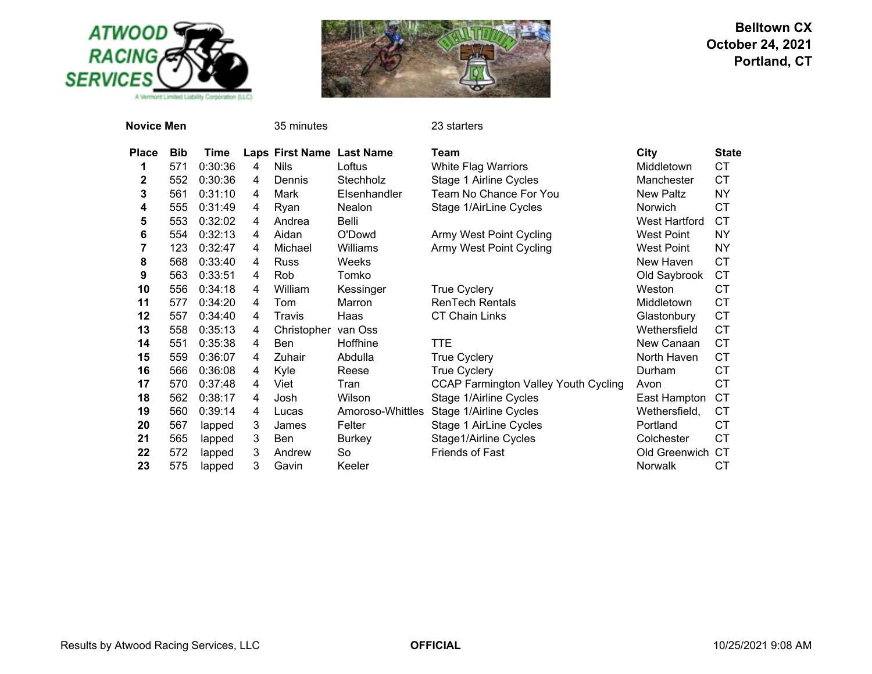



| <b>Novice Men</b> |            |             |   | 35 minutes                |                  | 23 starters                                 |                      |              |
|-------------------|------------|-------------|---|---------------------------|------------------|---------------------------------------------|----------------------|--------------|
| <b>Place</b>      | <b>Bib</b> | <b>Time</b> |   | Laps First Name Last Name |                  | Team                                        | City                 | <b>State</b> |
| 1                 | 571        | 0:30:36     | 4 | <b>Nils</b>               | Loftus           | White Flag Warriors                         | Middletown           | <b>CT</b>    |
| $\mathbf 2$       | 552        | 0:30:36     | 4 | Dennis                    | Stechholz        | Stage 1 Airline Cycles                      | Manchester           | CT.          |
| 3                 | 561        | 0:31:10     | 4 | Mark                      | Elsenhandler     | Team No Chance For You                      | <b>New Paltz</b>     | <b>NY</b>    |
| 4                 | 555        | 0:31:49     | 4 | Ryan                      | Nealon           | Stage 1/AirLine Cycles                      | Norwich              | <b>CT</b>    |
| 5                 | 553        | 0:32:02     | 4 | Andrea                    | Belli            |                                             | <b>West Hartford</b> | CT           |
| 6                 | 554        | 0:32:13     | 4 | Aidan                     | O'Dowd           | Army West Point Cycling                     | <b>West Point</b>    | <b>NY</b>    |
| 7                 | 123        | 0:32:47     | 4 | Michael                   | Williams         | Army West Point Cycling                     | West Point           | <b>NY</b>    |
| 8                 | 568        | 0:33:40     | 4 | <b>Russ</b>               | Weeks            |                                             | New Haven            | <b>CT</b>    |
| 9                 | 563        | 0:33:51     | 4 | Rob                       | Tomko            |                                             | Old Saybrook         | CT           |
| 10                | 556        | 0:34:18     | 4 | William                   | Kessinger        | <b>True Cyclery</b>                         | Weston               | <b>CT</b>    |
| 11                | 577        | 0:34:20     | 4 | Tom                       | Marron           | <b>RenTech Rentals</b>                      | Middletown           | <b>CT</b>    |
| 12                | 557        | 0:34:40     | 4 | Travis                    | Haas             | <b>CT Chain Links</b>                       | Glastonbury          | <b>CT</b>    |
| 13                | 558        | 0:35:13     | 4 | Christopher               | van Oss          |                                             | Wethersfield         | CT           |
| 14                | 551        | 0:35:38     | 4 | Ben                       | Hoffhine         | TTE                                         | New Canaan           | <b>CT</b>    |
| 15                | 559        | 0:36:07     | 4 | Zuhair                    | Abdulla          | <b>True Cyclery</b>                         | North Haven          | <b>CT</b>    |
| 16                | 566        | 0:36:08     | 4 | Kyle                      | Reese            | <b>True Cyclery</b>                         | Durham               | <b>CT</b>    |
| 17                | 570        | 0:37:48     | 4 | Viet                      | Tran             | <b>CCAP Farmington Valley Youth Cycling</b> | Avon                 | <b>CT</b>    |
| 18                | 562        | 0:38:17     | 4 | Josh                      | Wilson           | Stage 1/Airline Cycles                      | East Hampton         | <b>CT</b>    |
| 19                | 560        | 0:39:14     | 4 | Lucas                     | Amoroso-Whittles | Stage 1/Airline Cycles                      | Wethersfield,        | СT           |
| 20                | 567        | lapped      | 3 | James                     | Felter           | Stage 1 AirLine Cycles                      | Portland             | CT           |
| 21                | 565        | lapped      | 3 | <b>Ben</b>                | <b>Burkey</b>    | Stage1/Airline Cycles                       | Colchester           | <b>CT</b>    |
| 22                | 572        | lapped      | 3 | Andrew                    | So               | Friends of Fast                             | Old Greenwich        | <b>CT</b>    |
| 23                | 575        | lapped      | 3 | Gavin                     | Keeler           |                                             | Norwalk              | <b>CT</b>    |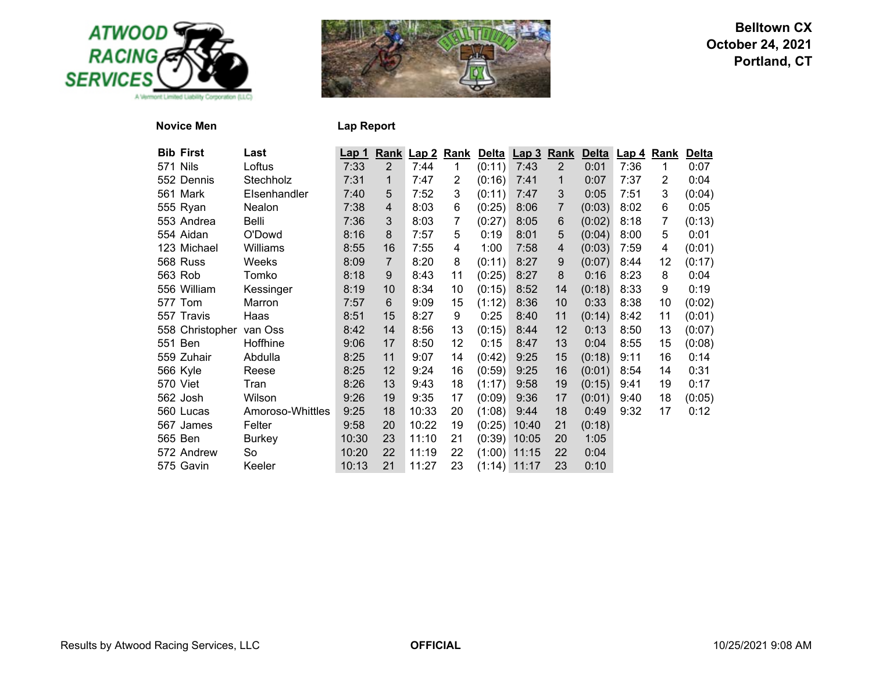



# **Novice Men**

| <b>Lap Report</b> |  |  |
|-------------------|--|--|
|-------------------|--|--|

| <b>Bib First</b> | Last             | <u>Lap 1</u> |                | Rank Lap 2 | <u>Rank</u> |        | Delta Lap 3 Rank |                   | <b>Delta</b> | <u>  Lap 4</u> | Rank           | <b>Delta</b> |
|------------------|------------------|--------------|----------------|------------|-------------|--------|------------------|-------------------|--------------|----------------|----------------|--------------|
| 571 Nils         | Loftus           | 7:33         | $\overline{2}$ | 7:44       | 1           | (0:11) | 7:43             | $\overline{2}$    | 0:01         | 7:36           | 1              | 0:07         |
| 552 Dennis       | Stechholz        | 7:31         | 1              | 7:47       | 2           | (0:16) | 7:41             | 1                 | 0:07         | 7:37           | $\overline{2}$ | 0:04         |
| 561 Mark         | Elsenhandler     | 7:40         | 5              | 7:52       | 3           | (0:11) | 7:47             | 3                 | 0:05         | 7:51           | 3              | (0:04)       |
| 555 Ryan         | Nealon           | 7:38         | 4              | 8:03       | 6           | (0:25) | 8:06             | 7                 | (0:03)       | 8:02           | 6              | 0:05         |
| 553 Andrea       | Belli            | 7:36         | 3              | 8:03       | 7           | (0:27) | 8:05             | 6                 | (0:02)       | 8:18           | 7              | (0:13)       |
| 554 Aidan        | O'Dowd           | 8:16         | 8              | 7:57       | 5           | 0:19   | 8:01             | 5                 | (0:04)       | 8:00           | 5              | 0:01         |
| 123 Michael      | Williams         | 8:55         | 16             | 7:55       | 4           | 1:00   | 7:58             | 4                 | (0:03)       | 7:59           | 4              | (0:01)       |
| 568 Russ         | Weeks            | 8:09         | $\overline{7}$ | 8:20       | 8           | (0:11) | 8:27             | $9\,$             | (0:07)       | 8:44           | 12             | (0:17)       |
| 563 Rob          | Tomko            | 8:18         | 9              | 8:43       | 11          | (0:25) | 8:27             | 8                 | 0:16         | 8:23           | 8              | 0:04         |
| 556 William      | Kessinger        | 8:19         | 10             | 8:34       | 10          | (0:15) | 8:52             | 14                | (0:18)       | 8:33           | 9              | 0:19         |
| 577 Tom          | Marron           | 7:57         | 6              | 9:09       | 15          | (1:12) | 8:36             | 10                | 0:33         | 8:38           | 10             | (0:02)       |
| 557 Travis       | Haas             | 8:51         | 15             | 8:27       | 9           | 0:25   | 8:40             | 11                | (0:14)       | 8:42           | 11             | (0:01)       |
| 558 Christopher  | van Oss          | 8:42         | 14             | 8:56       | 13          | (0:15) | 8:44             | $12 \overline{ }$ | 0:13         | 8:50           | 13             | (0:07)       |
| 551 Ben          | Hoffhine         | 9:06         | 17             | 8:50       | 12          | 0:15   | 8:47             | 13                | 0:04         | 8:55           | 15             | (0:08)       |
| 559 Zuhair       | Abdulla          | 8:25         | 11             | 9:07       | 14          | (0:42) | 9:25             | 15                | (0:18)       | 9:11           | 16             | 0:14         |
| 566 Kyle         | Reese            | 8:25         | 12             | 9:24       | 16          | (0:59) | 9:25             | 16                | (0:01)       | 8:54           | 14             | 0:31         |
| 570 Viet         | Tran             | 8:26         | 13             | 9:43       | 18          | (1:17) | 9:58             | 19                | (0:15)       | 9:41           | 19             | 0:17         |
| 562 Josh         | Wilson           | 9:26         | 19             | 9:35       | 17          | (0:09) | 9:36             | 17                | (0:01)       | 9:40           | 18             | (0:05)       |
| 560 Lucas        | Amoroso-Whittles | 9:25         | 18             | 10:33      | 20          | (1:08) | 9:44             | 18                | 0:49         | 9:32           | 17             | 0:12         |
| 567 James        | Felter           | 9:58         | 20             | 10:22      | 19          | (0:25) | 10:40            | 21                | (0:18)       |                |                |              |
| 565 Ben          | <b>Burkey</b>    | 10:30        | 23             | 11:10      | 21          | (0:39) | 10:05            | 20                | 1:05         |                |                |              |
| 572 Andrew       | So               | 10:20        | 22             | 11:19      | 22          | (1:00) | 11:15            | 22                | 0:04         |                |                |              |
| 575 Gavin        | Keeler           | 10:13        | 21             | 11:27      | 23          |        | $(1:14)$ 11:17   | 23                | 0:10         |                |                |              |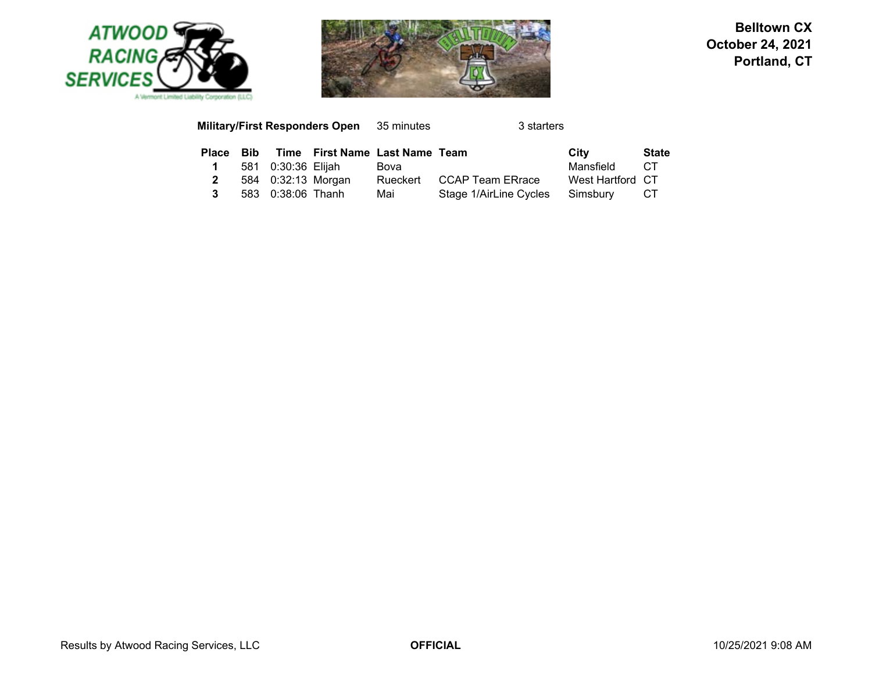



#### **Military/First Responders Open** 35 minutes 3 starters **Place Bib Time First Name Last Name Team City State 1**581 0:30:36 Elijah Bova<br>584 0:32:13 Morgan Rueckert CCAP Team ERrace West Hartford CT **2**Rueckert CCAP Team ERrace **3**583 0:38:06 Thanh Mai Stage 1/AirLine Cycles Simsbury CT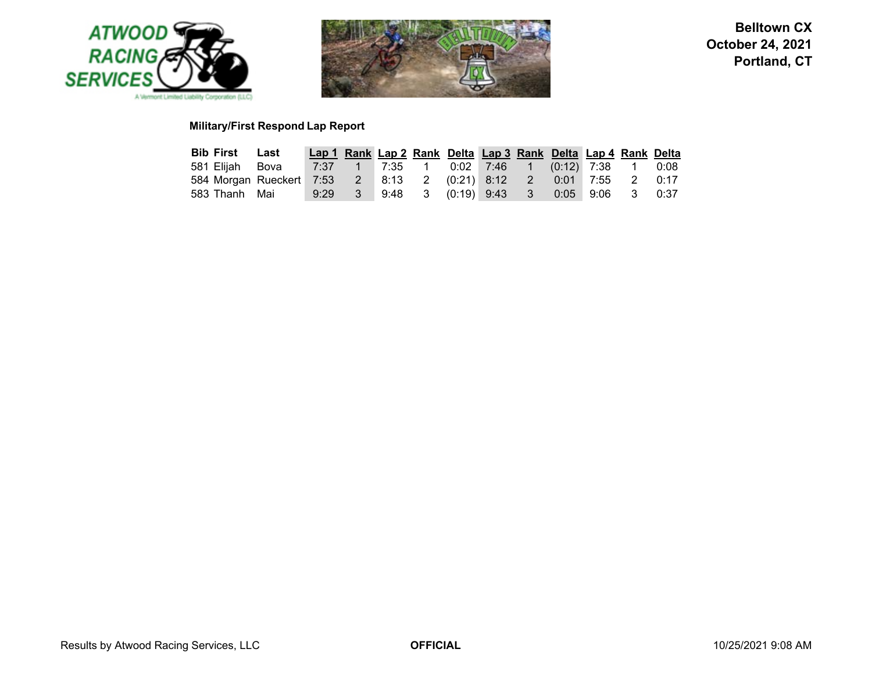



# **Military/First Respond Lap Report**

| <b>Bib First Last</b> |                                                                            | Lap 1 Rank Lap 2 Rank Delta Lap 3 Rank Delta Lap 4 Rank Delta |  |  |  |  |  |
|-----------------------|----------------------------------------------------------------------------|---------------------------------------------------------------|--|--|--|--|--|
| 581 Elijah Bova       |                                                                            |                                                               |  |  |  |  |  |
|                       | 584 Morgan Rueckert 7:53  2  8:13  2  (0:21)  8:12  2  0:01  7:55  2  0:17 |                                                               |  |  |  |  |  |
|                       | 583 Thanh Mai 9:29 3 9:48 3 (0:19) 9:43 3 0:05 9:06 3 0:37                 |                                                               |  |  |  |  |  |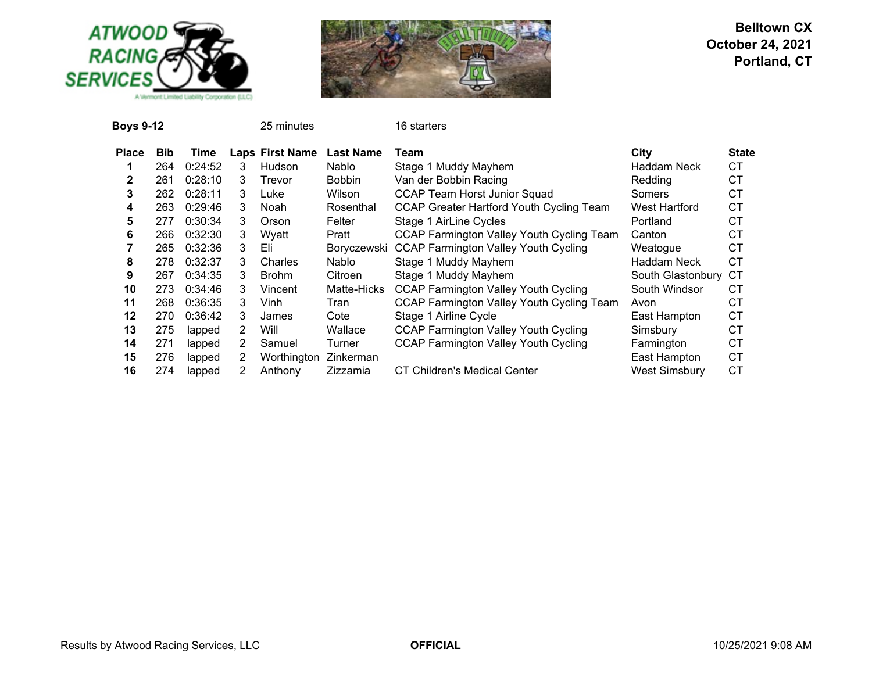



| <b>Boys 9-12</b> |            |         |   | 25 minutes             |                  | 16 starters                                      |                      |              |
|------------------|------------|---------|---|------------------------|------------------|--------------------------------------------------|----------------------|--------------|
| <b>Place</b>     | <b>Bib</b> | Time    |   | <b>Laps First Name</b> | <b>Last Name</b> | Team                                             | City                 | <b>State</b> |
|                  | 264        | 0:24:52 | 3 | <b>Hudson</b>          | Nablo            | Stage 1 Muddy Mayhem                             | <b>Haddam Neck</b>   | СT           |
| $\mathbf{2}$     | 261        | 0:28:10 | 3 | Trevor                 | <b>Bobbin</b>    | Van der Bobbin Racing                            | Redding              | <b>CT</b>    |
| 3                | 262        | 0:28:11 | 3 | Luke                   | Wilson           | CCAP Team Horst Junior Squad                     | Somers               | СT           |
| 4                | 263        | 0:29:46 | 3 | Noah                   | Rosenthal        | CCAP Greater Hartford Youth Cycling Team         | West Hartford        | <b>CT</b>    |
| 5                | 277        | 0:30:34 | 3 | Orson                  | Felter           | Stage 1 AirLine Cycles                           | Portland             | <b>CT</b>    |
| 6                | 266        | 0:32:30 | 3 | Wyatt                  | Pratt            | CCAP Farmington Valley Youth Cycling Team        | Canton               | СT           |
|                  | 265        | 0:32:36 | 3 | Eli                    | Boryczewski      | <b>CCAP Farmington Valley Youth Cycling</b>      | Weatogue             | <b>CT</b>    |
| 8                | 278        | 0:32:37 | 3 | Charles                | Nablo            | Stage 1 Muddy Mayhem                             | Haddam Neck          | СT           |
| 9                | 267        | 0:34:35 | 3 | <b>Brohm</b>           | Citroen          | Stage 1 Muddy Mayhem                             | South Glastonbury    | CТ           |
| 10               | 273        | 0:34:46 | 3 | Vincent                | Matte-Hicks      | <b>CCAP Farmington Valley Youth Cycling</b>      | South Windsor        | СT           |
| 11               | 268        | 0:36:35 | 3 | Vinh                   | Tran             | <b>CCAP Farmington Valley Youth Cycling Team</b> | Avon                 | <b>CT</b>    |
| 12               | 270        | 0:36:42 | 3 | James                  | Cote             | Stage 1 Airline Cycle                            | East Hampton         | <b>CT</b>    |
| 13               | 275        | lapped  | 2 | Will                   | Wallace          | <b>CCAP Farmington Valley Youth Cycling</b>      | Simsbury             | <b>CT</b>    |
| 14               | 271        | lapped  | 2 | Samuel                 | Turner           | <b>CCAP Farmington Valley Youth Cycling</b>      | Farmington           | <b>CT</b>    |
| 15               | 276        | lapped  | 2 | Worthington            | Zinkerman        |                                                  | East Hampton         | <b>CT</b>    |
| 16               | 274        | lapped  |   | Anthony                | Zizzamia         | CT Children's Medical Center                     | <b>West Simsbury</b> | <b>CT</b>    |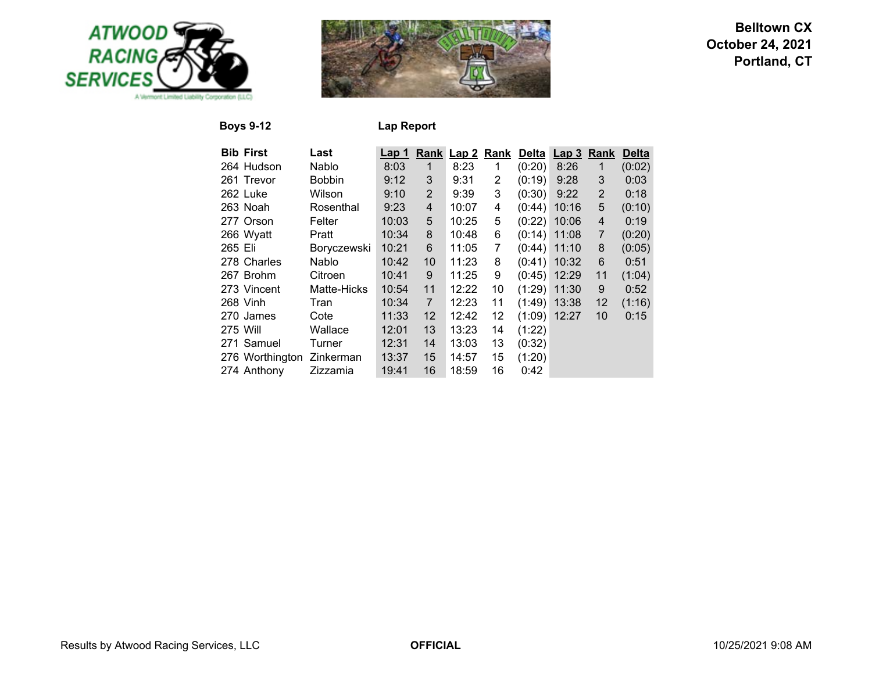



**Boys 9-12 Lap Report**

| <b>Bib First</b> | Last          | Lap 1 |                | Rank Lap 2 | Rank | Delta  | Lap <sub>3</sub> | Rank           | <b>Delta</b> |
|------------------|---------------|-------|----------------|------------|------|--------|------------------|----------------|--------------|
| 264 Hudson       | Nablo         | 8:03  | 1              | 8:23       | 1    | (0:20) | 8:26             | 1              | (0:02)       |
| 261 Trevor       | <b>Bobbin</b> | 9:12  | 3              | 9:31       | 2    | (0:19) | 9:28             | 3              | 0:03         |
| 262 Luke         | Wilson        | 9:10  | $\overline{2}$ | 9:39       | 3    | (0:30) | 9:22             | $\overline{2}$ | 0:18         |
| 263 Noah         | Rosenthal     | 9:23  | 4              | 10:07      | 4    | (0:44) | 10:16            | 5              | (0:10)       |
| 277 Orson        | Felter        | 10:03 | 5              | 10:25      | 5    | (0:22) | 10:06            | 4              | 0:19         |
| 266 Wyatt        | Pratt         | 10:34 | 8              | 10:48      | 6    | (0:14) | 11:08            | 7              | (0:20)       |
| 265 Eli          | Boryczewski   | 10:21 | 6              | 11:05      | 7    | (0:44) | 11:10            | 8              | (0:05)       |
| 278 Charles      | Nablo         | 10:42 | 10             | 11:23      | 8    | (0:41) | 10:32            | 6              | 0:51         |
| 267 Brohm        | Citroen       | 10:41 | 9              | 11:25      | 9    | (0:45) | 12:29            | 11             | (1:04)       |
| 273 Vincent      | Matte-Hicks   | 10:54 | 11             | 12:22      | 10   | (1:29) | 11:30            | 9              | 0:52         |
| 268 Vinh         | Tran          | 10:34 | $\overline{7}$ | 12:23      | 11   | (1:49) | 13:38            | 12             | (1:16)       |
| 270 James        | Cote          | 11:33 | 12             | 12:42      | 12   | (1:09) | 12:27            | 10             | 0:15         |
| 275 Will         | Wallace       | 12:01 | 13             | 13:23      | 14   | (1:22) |                  |                |              |
| 271 Samuel       | Turner        | 12:31 | 14             | 13:03      | 13   | (0:32) |                  |                |              |
| 276 Worthington  | Zinkerman     | 13:37 | 15             | 14:57      | 15   | (1:20) |                  |                |              |
| 274 Anthony      | Zizzamia      | 19:41 | 16             | 18:59      | 16   | 0:42   |                  |                |              |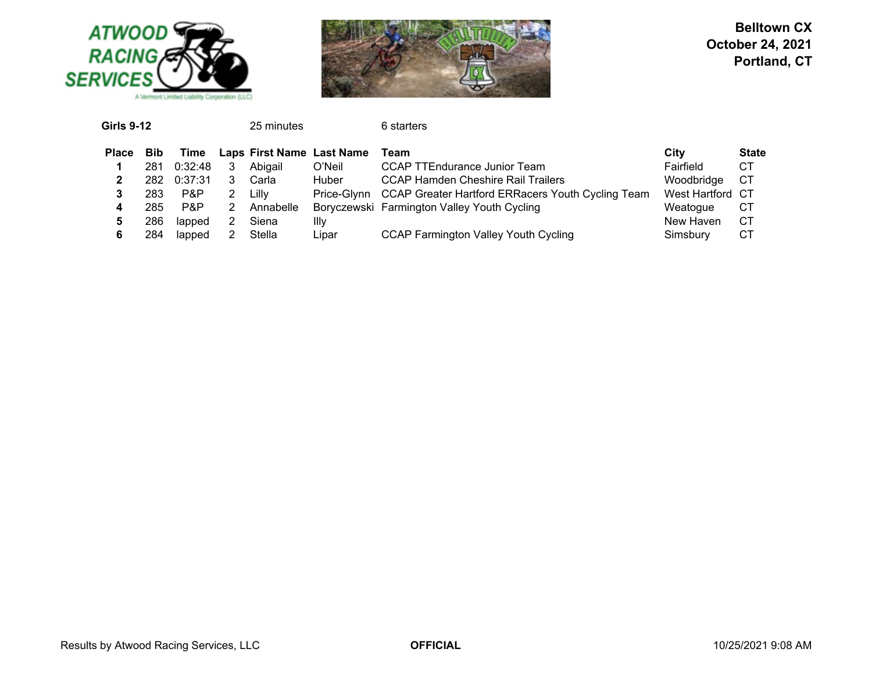



| <b>Girls 9-12</b> |      |         | 25 minutes |                           | 6 starters                                                    |                  |              |
|-------------------|------|---------|------------|---------------------------|---------------------------------------------------------------|------------------|--------------|
| <b>Place</b>      | Bib  | Time    |            | Laps First Name Last Name | Team                                                          | City             | <b>State</b> |
|                   | 281  | 0:32:48 | Abigail    | O'Neil                    | CCAP TTEndurance Junior Team                                  | Fairfield        | CT           |
|                   | 282. | 0:37:31 | Carla      | <b>Huber</b>              | <b>CCAP Hamden Cheshire Rail Trailers</b>                     | Woodbridge       | СT           |
|                   | 283  | P&P     | Lilly      |                           | Price-Glynn CCAP Greater Hartford ERRacers Youth Cycling Team | West Hartford CT |              |
| 4                 | 285  | P&P     | Annabelle  |                           | Boryczewski Farmington Valley Youth Cycling                   | Weatogue         | C1           |
| 5                 | 286  | lapped  | Siena      | Illv                      |                                                               | New Haven        | СT           |
| 6                 | 284  | lapped  | Stella     | Lipar                     | <b>CCAP Farmington Valley Youth Cycling</b>                   | Simsbury         | C1           |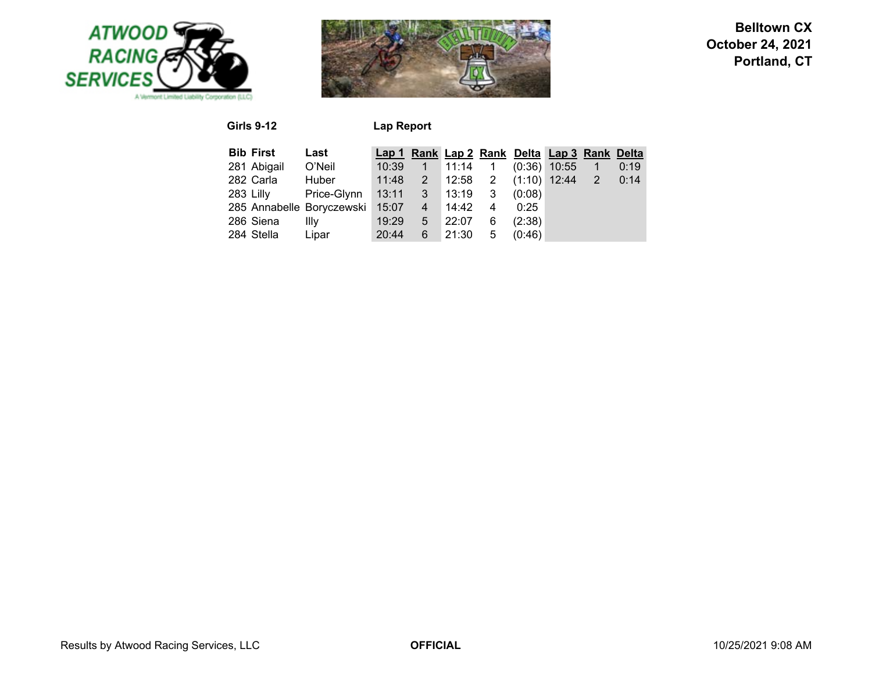



**Girls 9-12 Lap Report**

| <b>Bib First</b> | Last                      |               |            |                 |                |        | Lap 1 Rank Lap 2 Rank Delta Lap 3 Rank Delta |      |
|------------------|---------------------------|---------------|------------|-----------------|----------------|--------|----------------------------------------------|------|
| 281 Abigail      | O'Neil                    | 10:39         |            | $1 \quad 11:14$ | $\overline{1}$ |        | $(0:36)$ 10:55                               | 0:19 |
| 282 Carla        | Huber                     | 11:48         | $\sqrt{2}$ | 12:58 2         |                |        | $(1:10)$ 12:44 2                             | 0:14 |
| 283 Lilly        | Price-Glynn               | 13:11 3 13:19 |            |                 | $-3$           | (0:08) |                                              |      |
|                  | 285 Annabelle Boryczewski |               |            | 15:07  4  14:42 | 4              | 0:25   |                                              |      |
| 286 Siena        | Illv                      | 19:29         | $5 -$      | 22:07           | 6              | (2:38) |                                              |      |
| 284 Stella       | Lipar                     | 20:44         | 6          | 21:30           | 5              | (0:46) |                                              |      |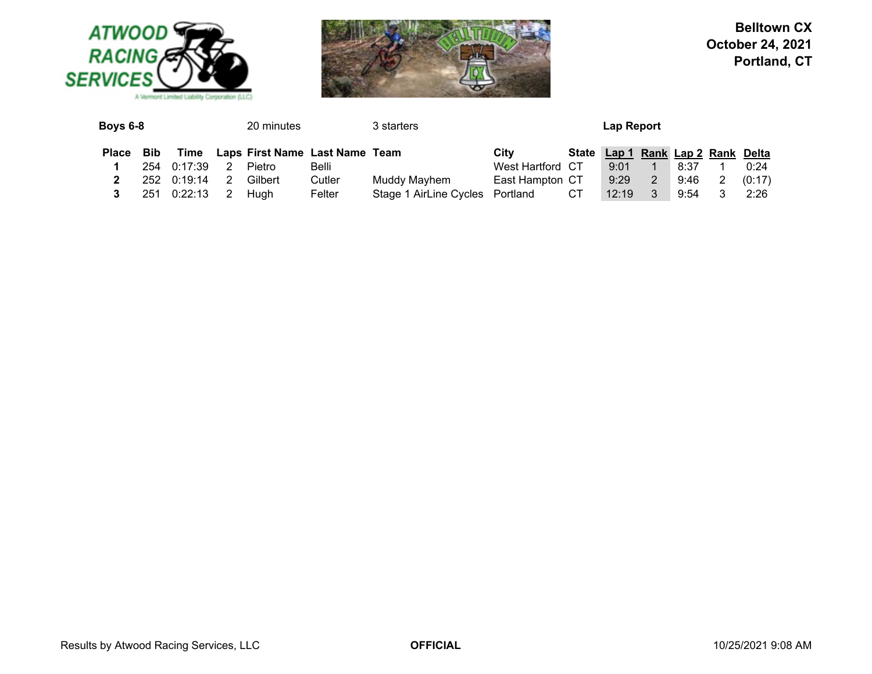



| Boys 6-8     | 20 minutes |             |   | 3 starters                     |        |                                 |                  | Lap Report |                                   |    |      |  |        |
|--------------|------------|-------------|---|--------------------------------|--------|---------------------------------|------------------|------------|-----------------------------------|----|------|--|--------|
| <b>Place</b> | <b>Bib</b> | Time        |   | Laps First Name Last Name Team |        |                                 | City             |            | State Lap 1 Rank Lap 2 Rank Delta |    |      |  |        |
|              | 254        | 0:17:39     |   | Pietro                         | Belli  |                                 | West Hartford CT |            | 9:01                              |    | 8:37 |  | 0:24   |
|              |            | 252 0:19:14 |   | Gilbert                        | Cutler | Muddy Mayhem                    | East Hampton CT  |            | 9:29                              | 2  | 9:46 |  | (0:17) |
|              | 251        | 0:22:13     | 2 | Huah                           | Felter | Stage 1 AirLine Cycles Portland |                  | CT.        | 12:19                             | -3 | 9:54 |  | 2:26   |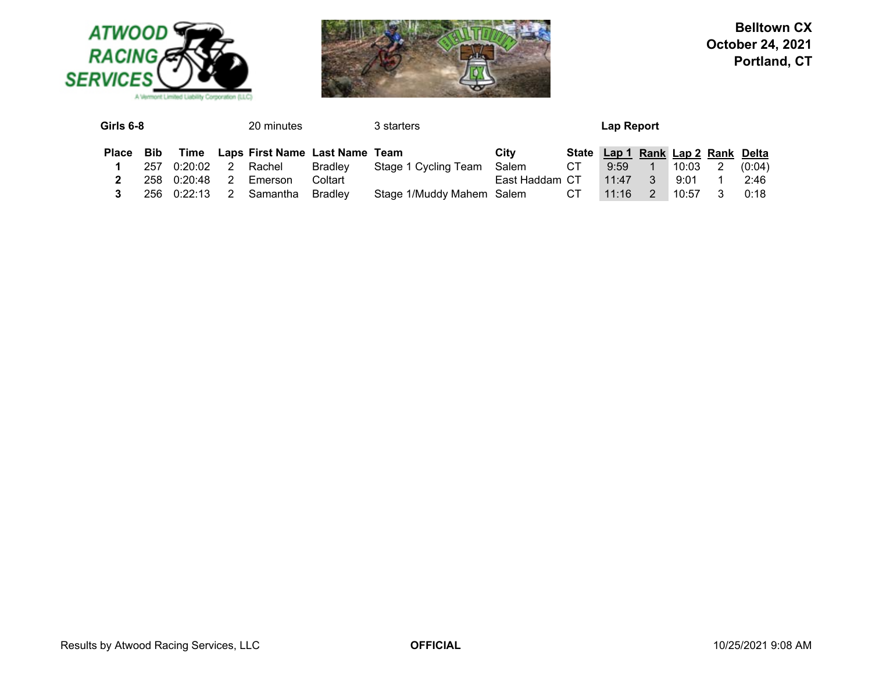



| Girls 6-8 |     |             |    | 20 minutes                          |         | 3 starters<br>Lap Report     |                |      |                                   |                   |                  |                |        |
|-----------|-----|-------------|----|-------------------------------------|---------|------------------------------|----------------|------|-----------------------------------|-------------------|------------------|----------------|--------|
| Place Bib |     |             |    | Time Laps First Name Last Name Team |         |                              | City           |      | State Lap 1 Rank Lap 2 Rank Delta |                   |                  |                |        |
|           | 257 | 0:20:02     | 2  | Rachel                              | Bradley | Stage 1 Cycling Team         | Salem          | CT . | 9:59                              | $\sim$ 1 $\sim$ 1 | $^{\circ}$ 10:03 | $\overline{2}$ | (0:04) |
|           |     | 258 0:20:48 | -2 | Emerson                             | Coltart |                              | East Haddam CT |      | 11:47                             | $\sim$ 3          | 9:01             |                | 2:46   |
|           |     | 256 0:22:13 | 2  | Samantha                            | Bradlev | Stage 1/Muddy Mahem Salem CT |                |      | 11:16                             | 2                 | 10:57            |                | 0:18   |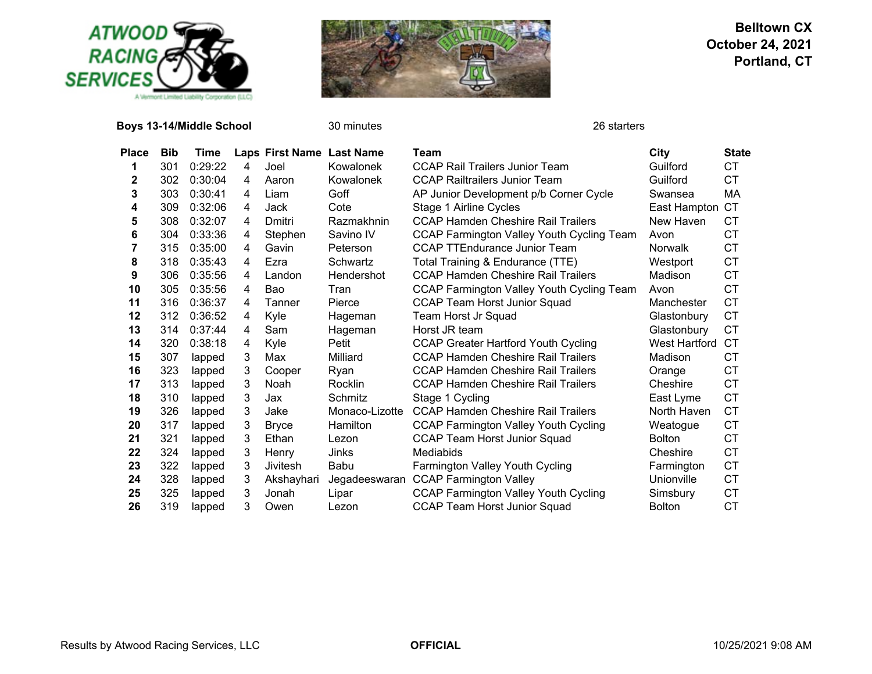

**Boys 13-14/Middle School** 30 minutes 26 starters 26 starters



| Place | <b>Bib</b> | Time    |   | Laps First Name Last Name |                | Team                                             | City          | <b>State</b> |
|-------|------------|---------|---|---------------------------|----------------|--------------------------------------------------|---------------|--------------|
| 1     | 301        | 0:29:22 | 4 | Joel                      | Kowalonek      | <b>CCAP Rail Trailers Junior Team</b>            | Guilford      | СT           |
| 2     | 302        | 0:30:04 | 4 | Aaron                     | Kowalonek      | <b>CCAP Railtrailers Junior Team</b>             | Guilford      | СT           |
| 3     | 303        | 0:30:41 | 4 | Liam                      | Goff           | AP Junior Development p/b Corner Cycle           | Swansea       | МA           |
| 4     | 309        | 0:32:06 | 4 | Jack                      | Cote           | Stage 1 Airline Cycles                           | East Hampton  | СT           |
| 5     | 308        | 0:32:07 | 4 | Dmitri                    | Razmakhnin     | <b>CCAP Hamden Cheshire Rail Trailers</b>        | New Haven     | CТ           |
| 6     | 304        | 0:33:36 | 4 | Stephen                   | Savino IV      | <b>CCAP Farmington Valley Youth Cycling Team</b> | Avon          | СT           |
| 7     | 315        | 0:35:00 | 4 | Gavin                     | Peterson       | <b>CCAP TTEndurance Junior Team</b>              | Norwalk       | СT           |
| 8     | 318        | 0:35:43 | 4 | Ezra                      | Schwartz       | Total Training & Endurance (TTE)                 | Westport      | <b>CT</b>    |
| 9     | 306        | 0:35:56 | 4 | Landon                    | Hendershot     | <b>CCAP Hamden Cheshire Rail Trailers</b>        | Madison       | СT           |
| 10    | 305        | 0:35:56 | 4 | Bao                       | Tran           | <b>CCAP Farmington Valley Youth Cycling Team</b> | Avon          | СT           |
| 11    | 316        | 0:36:37 | 4 | Tanner                    | Pierce         | <b>CCAP Team Horst Junior Squad</b>              | Manchester    | СT           |
| 12    | 312        | 0:36:52 | 4 | Kyle                      | Hageman        | Team Horst Jr Squad                              | Glastonbury   | <b>CT</b>    |
| 13    | 314        | 0:37:44 | 4 | Sam                       | Hageman        | Horst JR team                                    | Glastonbury   | СT           |
| 14    | 320        | 0:38:18 | 4 | Kyle                      | Petit          | <b>CCAP Greater Hartford Youth Cycling</b>       | West Hartford | CТ           |
| 15    | 307        | lapped  | 3 | Max                       | Milliard       | <b>CCAP Hamden Cheshire Rail Trailers</b>        | Madison       | СT           |
| 16    | 323        | lapped  | 3 | Cooper                    | Ryan           | <b>CCAP Hamden Cheshire Rail Trailers</b>        | Orange        | <b>CT</b>    |
| 17    | 313        | lapped  | 3 | Noah                      | Rocklin        | <b>CCAP Hamden Cheshire Rail Trailers</b>        | Cheshire      | СT           |
| 18    | 310        | lapped  | 3 | Jax                       | Schmitz        | Stage 1 Cycling                                  | East Lyme     | <b>CT</b>    |
| 19    | 326        | lapped  | 3 | Jake                      | Monaco-Lizotte | <b>CCAP Hamden Cheshire Rail Trailers</b>        | North Haven   | СT           |
| 20    | 317        | lapped  | 3 | <b>Bryce</b>              | Hamilton       | <b>CCAP Farmington Valley Youth Cycling</b>      | Weatogue      | СT           |
| 21    | 321        | lapped  | 3 | Ethan                     | Lezon          | <b>CCAP Team Horst Junior Squad</b>              | <b>Bolton</b> | <b>CT</b>    |
| 22    | 324        | lapped  | 3 | Henry                     | Jinks          | <b>Mediabids</b>                                 | Cheshire      | СT           |
| 23    | 322        | lapped  | 3 | <b>Jivitesh</b>           | Babu           | <b>Farmington Valley Youth Cycling</b>           | Farmington    | <b>CT</b>    |
| 24    | 328        | lapped  | 3 | Akshayhari                | Jegadeeswaran  | <b>CCAP Farmington Valley</b>                    | Unionville    | СT           |
| 25    | 325        | lapped  | 3 | Jonah                     | Lipar          | <b>CCAP Farmington Valley Youth Cycling</b>      | Simsbury      | <b>CT</b>    |
| 26    | 319        | lapped  | 3 | Owen                      | Lezon          | <b>CCAP Team Horst Junior Squad</b>              | <b>Bolton</b> | <b>CT</b>    |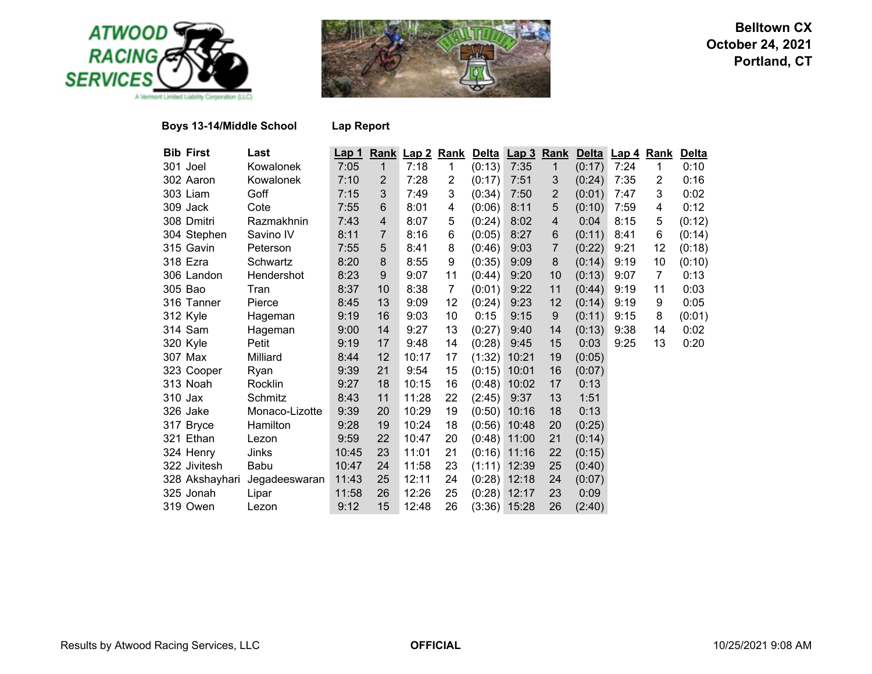



## **Boys 13-14/Middle School**

|  | <b>Lap Report</b> |
|--|-------------------|
|--|-------------------|

| <b>Bib First</b> | Last           | <u>Lap 1</u> |                | Rank Lap 2 | <b>Rank</b>    |        | Delta Lap 3    | <b>Rank</b>    |        | Delta Lap 4 | <b>Rank</b>    | <b>Delta</b> |
|------------------|----------------|--------------|----------------|------------|----------------|--------|----------------|----------------|--------|-------------|----------------|--------------|
| 301 Joel         | Kowalonek      | 7:05         | $\mathbf{1}$   | 7:18       | 1              | (0:13) | 7:35           | $\mathbf{1}$   | (0:17) | 7:24        | 1              | 0:10         |
| 302 Aaron        | Kowalonek      | 7:10         | $\overline{2}$ | 7:28       | $\overline{2}$ | (0:17) | 7:51           | 3              | (0:24) | 7:35        | $\overline{2}$ | 0:16         |
| 303 Liam         | Goff           | 7:15         | 3              | 7:49       | 3              | (0:34) | 7:50           | $\overline{2}$ | (0:01) | 7:47        | 3              | 0:02         |
| 309 Jack         | Cote           | 7:55         | 6              | 8:01       | 4              | (0:06) | 8:11           | 5              | (0:10) | 7:59        | 4              | 0:12         |
| 308 Dmitri       | Razmakhnin     | 7:43         | $\overline{4}$ | 8:07       | 5              | (0:24) | 8:02           | $\overline{4}$ | 0:04   | 8:15        | 5              | (0:12)       |
| 304 Stephen      | Savino IV      | 8:11         | $\overline{7}$ | 8:16       | 6              | (0:05) | 8:27           | 6              | (0:11) | 8:41        | 6              | (0:14)       |
| 315 Gavin        | Peterson       | 7:55         | 5              | 8:41       | 8              | (0:46) | 9:03           | 7              | (0:22) | 9:21        | 12             | (0:18)       |
| 318 Ezra         | Schwartz       | 8:20         | 8              | 8:55       | 9              | (0:35) | 9:09           | 8              | (0:14) | 9:19        | 10             | (0:10)       |
| 306 Landon       | Hendershot     | 8:23         | 9              | 9:07       | 11             | (0:44) | 9:20           | 10             | (0:13) | 9:07        | 7              | 0:13         |
| 305 Bao          | Tran           | 8:37         | 10             | 8:38       | 7              | (0:01) | 9:22           | 11             | (0:44) | 9:19        | 11             | 0:03         |
| 316 Tanner       | Pierce         | 8:45         | 13             | 9:09       | 12             | (0:24) | 9:23           | 12             | (0:14) | 9:19        | 9              | 0:05         |
| 312 Kyle         | Hageman        | 9:19         | 16             | 9:03       | 10             | 0:15   | 9:15           | $9\,$          | (0:11) | 9:15        | 8              | (0:01)       |
| 314 Sam          | Hageman        | 9:00         | 14             | 9:27       | 13             | (0:27) | 9:40           | 14             | (0:13) | 9:38        | 14             | 0:02         |
| 320 Kyle         | Petit          | 9:19         | 17             | 9:48       | 14             | (0:28) | 9:45           | 15             | 0:03   | 9:25        | 13             | 0:20         |
| 307 Max          | Milliard       | 8:44         | 12             | 10:17      | 17             | (1:32) | 10:21          | 19             | (0:05) |             |                |              |
| 323 Cooper       | Ryan           | 9:39         | 21             | 9:54       | 15             | (0:15) | 10:01          | 16             | (0:07) |             |                |              |
| 313 Noah         | Rocklin        | 9:27         | 18             | 10:15      | 16             | (0:48) | 10:02          | 17             | 0:13   |             |                |              |
| 310 Jax          | Schmitz        | 8:43         | 11             | 11:28      | 22             | (2:45) | 9:37           | 13             | 1:51   |             |                |              |
| 326 Jake         | Monaco-Lizotte | 9:39         | 20             | 10:29      | 19             | (0:50) | 10:16          | 18             | 0:13   |             |                |              |
| 317 Bryce        | Hamilton       | 9:28         | 19             | 10:24      | 18             |        | $(0:56)$ 10:48 | 20             | (0:25) |             |                |              |
| 321 Ethan        | Lezon          | 9:59         | 22             | 10:47      | 20             |        | $(0:48)$ 11:00 | 21             | (0:14) |             |                |              |
| 324 Henry        | Jinks          | 10:45        | 23             | 11:01      | 21             | (0:16) | 11:16          | 22             | (0:15) |             |                |              |
| 322 Jivitesh     | Babu           | 10:47        | 24             | 11:58      | 23             | (1:11) | 12:39          | 25             | (0:40) |             |                |              |
| 328 Akshayhari   | Jegadeeswaran  | 11:43        | 25             | 12:11      | 24             | (0:28) | 12:18          | 24             | (0:07) |             |                |              |
| 325 Jonah        | Lipar          | 11:58        | 26             | 12:26      | 25             |        | $(0:28)$ 12:17 | 23             | 0:09   |             |                |              |
| 319 Owen         | Lezon          | 9:12         | 15             | 12:48      | 26             |        | $(3:36)$ 15:28 | 26             | (2:40) |             |                |              |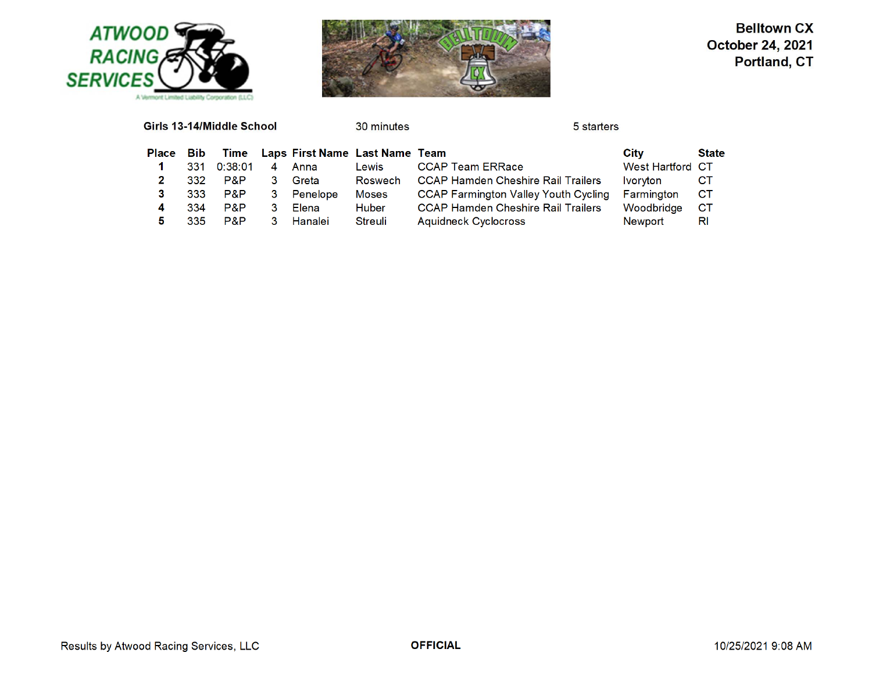



|              |            | Girls 13-14/Middle School |    |                                     | 30 minutes     | 5 starters                                  |                               |              |
|--------------|------------|---------------------------|----|-------------------------------------|----------------|---------------------------------------------|-------------------------------|--------------|
| <b>Place</b> | <b>Bib</b> |                           |    | Time Laps First Name Last Name Team |                |                                             | City                          | <b>State</b> |
|              | 331        | 0:38:01                   | 4  | Anna                                | Lewis          | <b>CCAP Team ERRace</b>                     | <b>West Hartford CT</b>       |              |
|              | 332        | P&P                       |    | Greta                               | <b>Roswech</b> | <b>CCAP Hamden Cheshire Rail Trailers</b>   | <i><u><b>Ivoryton</b></u></i> | CТ           |
|              | 333        | P&P                       | 3. | Penelope                            | <b>Moses</b>   | <b>CCAP Farmington Valley Youth Cycling</b> | Farmington                    | СT           |
| 4            | 334        | P&P                       | 3  | Elena                               | Huber          | <b>CCAP Hamden Cheshire Rail Trailers</b>   | Woodbridge                    | <b>CT</b>    |
| 5            | 335        | P&P                       | 3  | Hanalei                             | Streuli        | Aquidneck Cyclocross                        | Newport                       | RI           |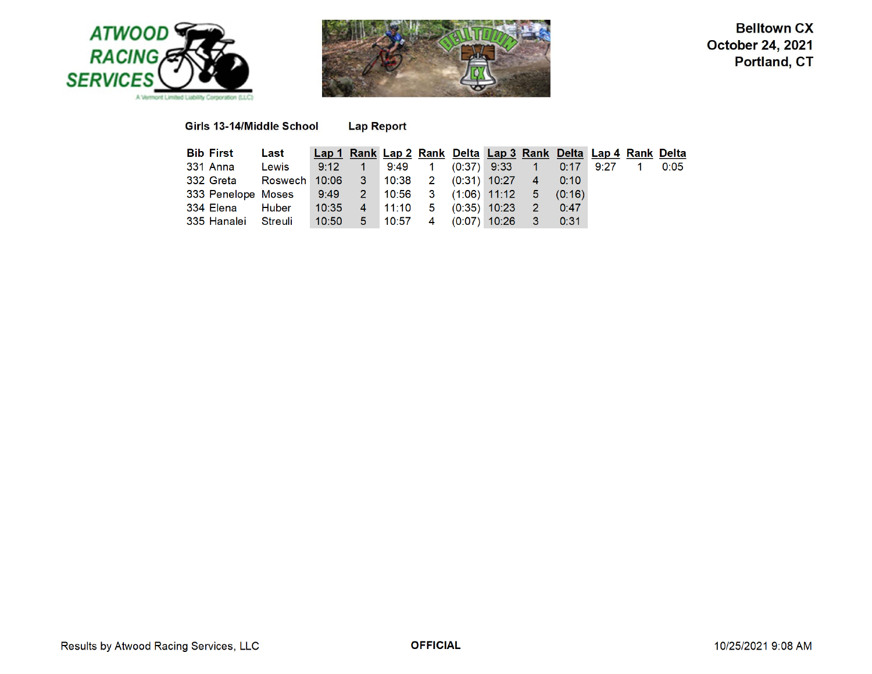



Girls 13-14/Middle School **Lap Report** 

| <b>Bib First</b>                                        | Last                                               | Lap 1 Rank Lap 2 Rank Delta Lap 3 Rank Delta Lap 4 Rank Delta |  |  |  |  |  |
|---------------------------------------------------------|----------------------------------------------------|---------------------------------------------------------------|--|--|--|--|--|
| 331 Anna                                                | Lewis 9:12 1 9:49 1 (0:37) 9:33 1 0:17 9:27 1 0:05 |                                                               |  |  |  |  |  |
| 332 Greta Roswech 10:06 3 10:38 2 (0:31) 10:27 4 0:10   |                                                    |                                                               |  |  |  |  |  |
| 333 Penelope Moses 9:49 2 10:56 3 (1:06) 11:12 5 (0:16) |                                                    |                                                               |  |  |  |  |  |
| 334 Elena Huber   10:35 4 11:10 5 (0:35) 10:23 2 0:47   |                                                    |                                                               |  |  |  |  |  |
| 335 Hanalei Streuli 10:50 5 10:57 4 (0:07) 10:26 3 0:31 |                                                    |                                                               |  |  |  |  |  |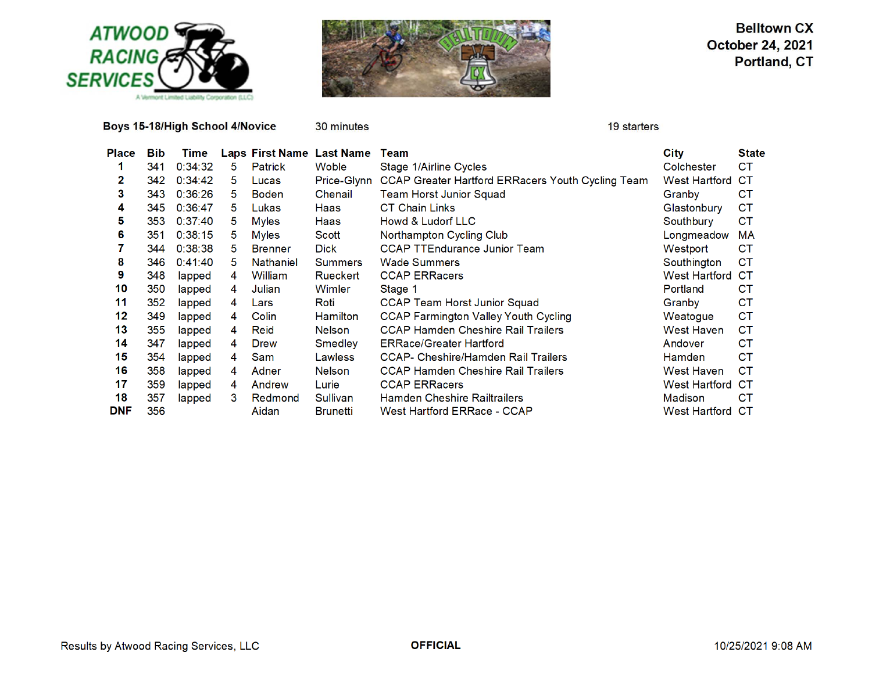

Boys 15-18/High School 4/Novice

30 minutes

19 starters

| Place      | <b>Bib</b> | Time    |    |                  | Laps First Name Last Name | Team                                                     | <b>City</b>          | <b>State</b> |
|------------|------------|---------|----|------------------|---------------------------|----------------------------------------------------------|----------------------|--------------|
|            | 341        | 0:34:32 | 5  | Patrick          | <b>Woble</b>              | Stage 1/Airline Cycles                                   | Colchester           | СT           |
| 2          | 342        | 0:34:42 | 5  | Lucas            | Price-Glynn               | <b>CCAP Greater Hartford ERRacers Youth Cycling Team</b> | West Hartford        | CТ           |
| 3          | 343        | 0:36:26 | 5. | <b>Boden</b>     | Chenail                   | <b>Team Horst Junior Squad</b>                           | Granby               | <b>CT</b>    |
| 4          | 345        | 0:36:47 | 5  | Lukas            | Haas                      | <b>CT Chain Links</b>                                    | Glastonbury          | СT           |
| 5          | 353        | 0:37:40 | 5. | <b>Myles</b>     | Haas                      | Howd & Ludorf LLC                                        | Southbury            | <b>CT</b>    |
| 6          | 351        | 0:38:15 | 5. | <b>Myles</b>     | Scott                     | Northampton Cycling Club                                 | Longmeadow           | МA           |
|            | 344        | 0:38:38 | 5. | <b>Brenner</b>   | <b>Dick</b>               | <b>CCAP TTEndurance Junior Team</b>                      | Westport             | СT           |
| 8          | 346        | 0:41:40 | 5. | <b>Nathaniel</b> | <b>Summers</b>            | <b>Wade Summers</b>                                      | Southington          | СT           |
| 9          | 348        | lapped  | 4  | William          | Rueckert                  | <b>CCAP ERRacers</b>                                     | <b>West Hartford</b> | CТ           |
| 10         | 350        | lapped  | 4  | Julian           | Wimler                    | Stage 1                                                  | Portland             | CТ           |
| 11         | 352        | lapped  | 4  | Lars             | Roti                      | <b>CCAP Team Horst Junior Squad</b>                      | Granby               | <b>CT</b>    |
| 12         | 349        | lapped  | 4  | Colin            | <b>Hamilton</b>           | <b>CCAP Farmington Valley Youth Cycling</b>              | Weatogue             | <b>CT</b>    |
| 13         | 355        | lapped  | 4  | Reid             | <b>Nelson</b>             | <b>CCAP Hamden Cheshire Rail Trailers</b>                | West Haven           | СT           |
| 14         | 347        | lapped  | 4  | <b>Drew</b>      | Smedley                   | <b>ERRace/Greater Hartford</b>                           | Andover              | CТ           |
| 15         | 354        | lapped  | 4  | Sam              | Lawless                   | <b>CCAP- Cheshire/Hamden Rail Trailers</b>               | <b>Hamden</b>        | СT           |
| 16         | 358        | lapped  | 4  | Adner            | <b>Nelson</b>             | <b>CCAP Hamden Cheshire Rail Trailers</b>                | West Haven           | СT           |
| 17         | 359        | lapped  | 4  | Andrew           | Lurie                     | <b>CCAP ERRacers</b>                                     | <b>West Hartford</b> | CТ           |
| 18         | 357        | lapped  | 3  | Redmond          | <b>Sullivan</b>           | <b>Hamden Cheshire Railtrailers</b>                      | Madison              | CТ           |
| <b>DNF</b> | 356        |         |    | Aidan            | <b>Brunetti</b>           | West Hartford ERRace - CCAP                              | <b>West Hartford</b> | CТ           |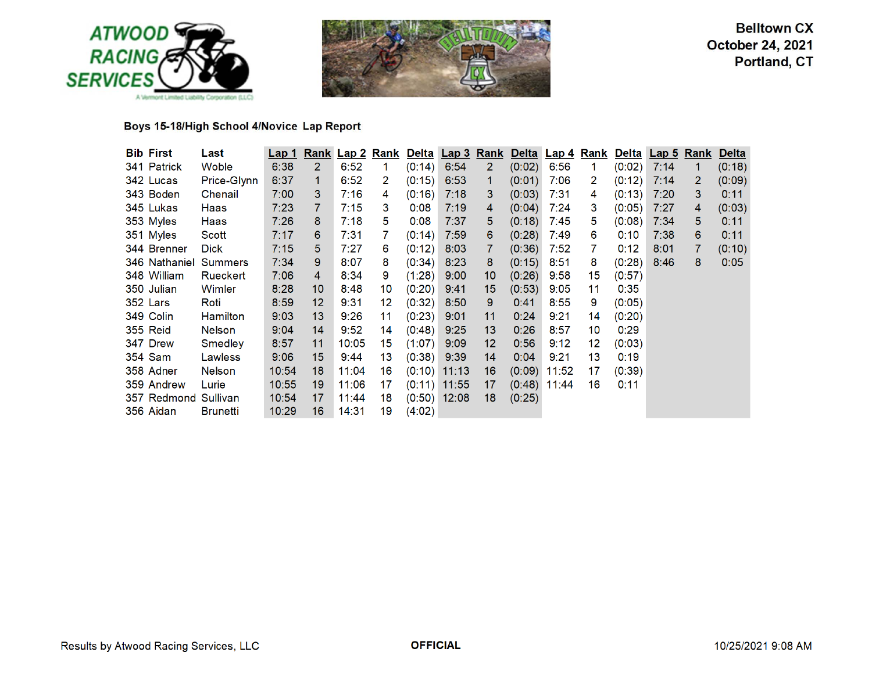



# Boys 15-18/High School 4/Novice Lap Report

| <b>Bib First</b>     | Last            | <u>Lap 1</u> |                   | <b>Rank Lap 2</b> | <u>Rank</u>     |               | <u>Delta</u> Lap 3 Rank |              |        | Delta Lap 4    |    | <b>Rank Delta Lap 5 Rank</b> |      |   | <b>Delta</b> |
|----------------------|-----------------|--------------|-------------------|-------------------|-----------------|---------------|-------------------------|--------------|--------|----------------|----|------------------------------|------|---|--------------|
| 341 Patrick          | Woble           | 6:38         | $\overline{2}$    | 6:52              | 1.              | (0:14)        | 6:54                    | $\mathbf{2}$ | (0:02) | 6:56           | 1. | (0:02)                       | 7:14 | 1 | (0:18)       |
| 342 Lucas            | Price-Glynn     | 6:37         | 1                 | 6:52              | 2               | (0:15)        | 6:53                    | 1            | (0:01) | 7:06           | 2  | (0:12)                       | 7:14 | 2 | (0:09)       |
| 343 Boden            | Chenail         | 7:00         | 3                 | 7:16              | 4               | (0:16)        | 7:18                    | 3            | (0:03) | 7:31           | 4  | (0:13)                       | 7:20 | 3 | 0:11         |
| 345 Lukas            | Haas            | 7:23         | 7                 | 7:15              | 3               | 0:08          | 7:19                    | 4            | (0:04) | 7:24           | 3  | (0:05)                       | 7:27 | 4 | (0:03)       |
| 353 Myles            | Haas            | 7:26         | 8                 | 7:18              | 5               | 0:08          | 7:37                    | 5            | (0:18) | 7:45           | 5  | (0:08)                       | 7:34 | 5 | 0:11         |
| 351 Myles            | Scott           | 7:17         | 6                 | 7:31              | 7               | (0:14)        | 7:59                    | 6            | (0:28) | 7:49           | 6  | 0:10                         | 7:38 | 6 | 0:11         |
| 344 Brenner          | <b>Dick</b>     | 7:15         | 5                 | 7:27              | 6               | (0:12)        | 8:03                    | 7            | (0:36) | 7:52           | 7  | 0:12                         | 8:01 |   | (0:10)       |
| 346 Nathaniel        | Summers         | 7:34         | 9                 | 8:07              | 8               | $(0:34)$ 8:23 |                         | 8            | (0:15) | 8:51           | 8  | (0:28)                       | 8:46 | 8 | 0:05         |
| 348 William          | Rueckert        | 7:06         | 4                 | 8:34              | 9               | $(1:28)$ 9:00 |                         | 10           | (0:26) | 9:58           | 15 | (0:57)                       |      |   |              |
| 350 Julian           | Wimler          | 8:28         | 10                | 8:48              | 10              | $(0:20)$ 9:41 |                         | 15           | (0:53) | 9:05           | 11 | 0:35                         |      |   |              |
| 352 Lars             | Roti            | 8:59         | $12 \overline{ }$ | 9:31              | 12 <sup>°</sup> | $(0:32)$ 8:50 |                         | 9            | 0:41   | 8:55           | 9  | (0:05)                       |      |   |              |
| 349 Colin            | <b>Hamilton</b> | 9:03         | 13 <sup>°</sup>   | 9:26              | 11              | $(0:23)$ 9:01 |                         | 11           | 0:24   | 9:21           | 14 | (0:20)                       |      |   |              |
| 355 Reid             | <b>Nelson</b>   | 9:04         | 14                | 9:52              | 14              | $(0:48)$ 9:25 |                         | 13           | 0:26   | 8:57           | 10 | 0:29                         |      |   |              |
| 347 Drew             | Smedley         | 8:57         | 11                | 10:05             | 15              | $(1:07)$ 9:09 |                         | 12           | 0:56   | 9:12           | 12 | (0:03)                       |      |   |              |
| 354 Sam              | Lawless         | 9:06         | 15                | 9:44              | 13              | $(0:38)$ 9:39 |                         | 14           | 0:04   | 9:21           | 13 | 0:19                         |      |   |              |
| 358 Adner            | <b>Nelson</b>   | 10:54        | 18                | 11:04             | 16              |               | $(0:10)$ 11:13          | 16           |        | $(0:09)$ 11:52 | 17 | (0:39)                       |      |   |              |
| 359 Andrew           | Lurie           | 10:55        | 19                | 11:06             | 17              |               | $(0:11)$ 11:55          | 17           | (0:48) | 11:44          | 16 | 0:11                         |      |   |              |
| 357 Redmond Sullivan |                 | 10:54        | 17                | 11:44             | 18              |               | $(0:50)$ 12:08          | 18           | (0:25) |                |    |                              |      |   |              |
| 356 Aidan            | <b>Brunetti</b> | 10:29        | 16                | 14:31             | 19              | (4:02)        |                         |              |        |                |    |                              |      |   |              |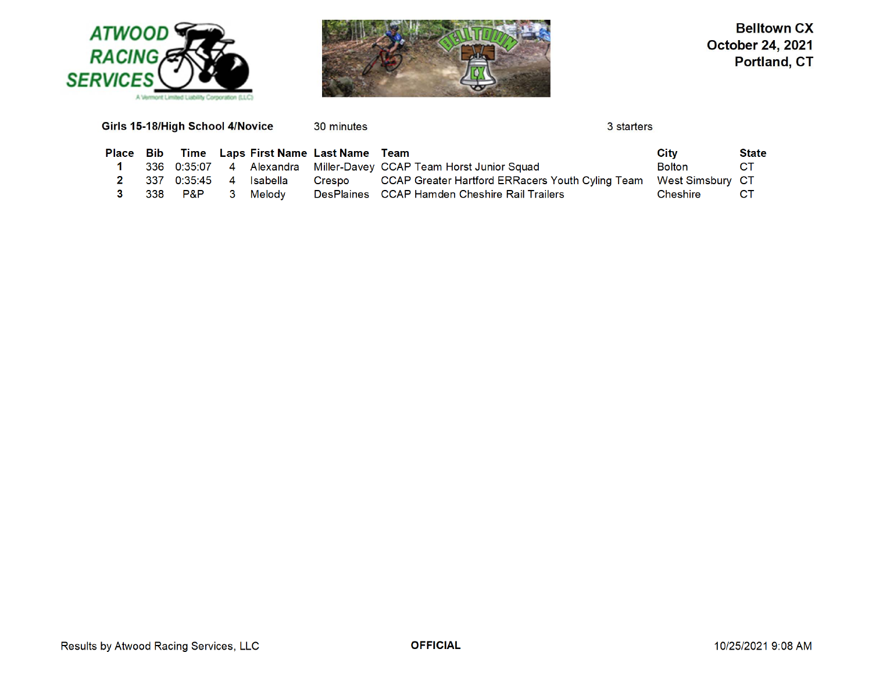



| Time Laps First Name Last Name Team<br>-Bib<br>Place<br>Miller-Davey CCAP Team Horst Junior Squad<br>4 Alexandra<br>336<br>0:35:07<br>CCAP Greater Hartford ERRacers Youth Cyling Team<br>0:35:45<br><b>Isabella</b><br>337<br>4<br>Crespo<br>DesPlaines CCAP Hamden Cheshire Rail Trailers<br>P&P<br>338<br>Melodv | Girls 15-18/High School 4/Novice<br>30 minutes | 3 starters                 |
|---------------------------------------------------------------------------------------------------------------------------------------------------------------------------------------------------------------------------------------------------------------------------------------------------------------------|------------------------------------------------|----------------------------|
|                                                                                                                                                                                                                                                                                                                     |                                                | <b>State</b><br>City       |
|                                                                                                                                                                                                                                                                                                                     |                                                | <b>CT</b><br><b>Bolton</b> |
|                                                                                                                                                                                                                                                                                                                     |                                                | <b>West Simsbury CT</b>    |
|                                                                                                                                                                                                                                                                                                                     |                                                | СT<br>Cheshire             |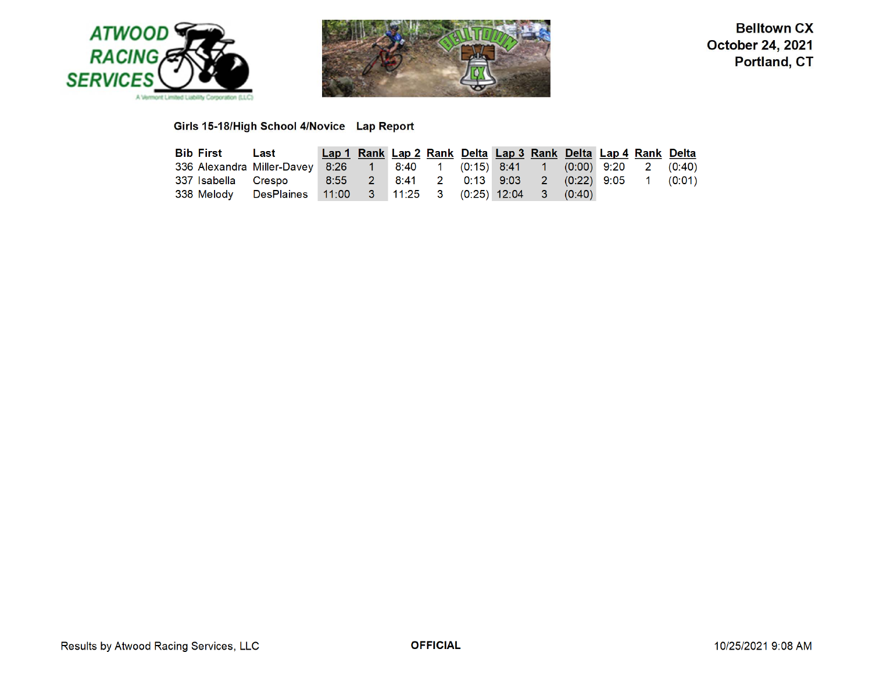



# Girls 15-18/High School 4/Novice Lap Report

| <b>Bib First</b> Last                                                                 | Lap 1 Rank Lap 2 Rank Delta Lap 3 Rank Delta Lap 4 Rank Delta |  |  |  |  |  |
|---------------------------------------------------------------------------------------|---------------------------------------------------------------|--|--|--|--|--|
| 336 Alexandra Miller-Davey 8:26  1  8:40  1  (0:15)  8:41  1  (0:00)  9:20  2  (0:40) |                                                               |  |  |  |  |  |
|                                                                                       |                                                               |  |  |  |  |  |
| 338 Melody DesPlaines 11:00 3 11:25 3 (0:25) 12:04 3 (0:40)                           |                                                               |  |  |  |  |  |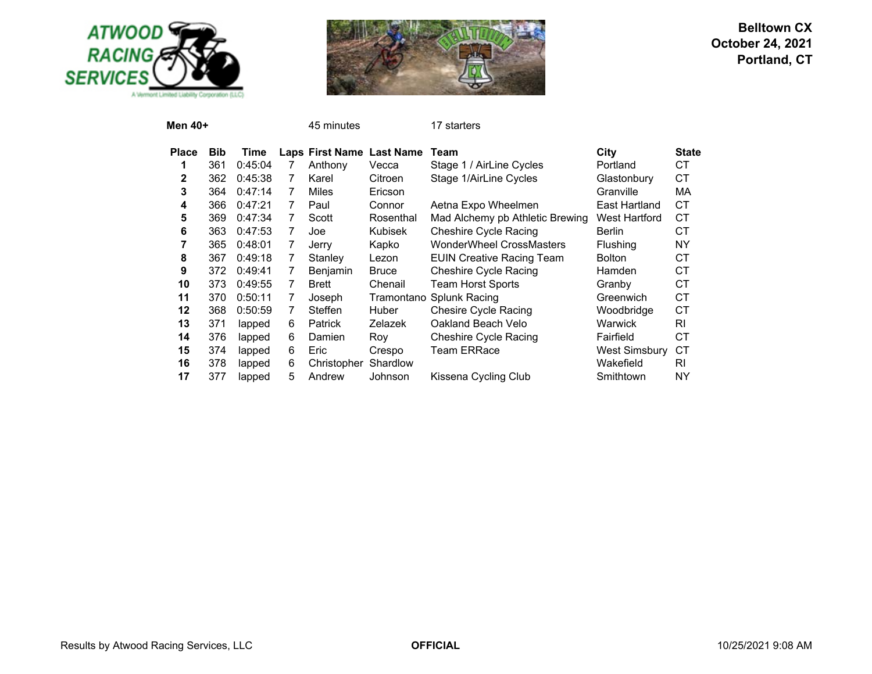



| Men 40+      |            |         |   | 45 minutes      |                  | 17 starters                      |                      |              |
|--------------|------------|---------|---|-----------------|------------------|----------------------------------|----------------------|--------------|
| <b>Place</b> | <b>Bib</b> | Time    |   | Laps First Name | <b>Last Name</b> | Team                             | City                 | <b>State</b> |
|              | 361        | 0:45:04 | 7 | Anthony         | Vecca            | Stage 1 / AirLine Cycles         | Portland             | СT           |
| $\mathbf{2}$ | 362        | 0:45:38 | 7 | Karel           | Citroen          | Stage 1/AirLine Cycles           | Glastonbury          | <b>CT</b>    |
| 3            | 364        | 0:47:14 | 7 | <b>Miles</b>    | Ericson          |                                  | Granville            | MA           |
| 4            | 366        | 0:47:21 | 7 | Paul            | Connor           | Aetna Expo Wheelmen              | East Hartland        | <b>CT</b>    |
| 5            | 369        | 0:47:34 | 7 | Scott           | Rosenthal        | Mad Alchemy pb Athletic Brewing  | West Hartford        | СT           |
| 6            | 363        | 0:47:53 | 7 | Joe             | <b>Kubisek</b>   | <b>Cheshire Cycle Racing</b>     | <b>Berlin</b>        | СT           |
| 7            | 365        | 0:48:01 | 7 | Jerry           | Kapko            | <b>WonderWheel CrossMasters</b>  | <b>Flushing</b>      | <b>NY</b>    |
| 8            | 367        | 0:49:18 | 7 | Stanley         | Lezon            | <b>EUIN Creative Racing Team</b> | <b>Bolton</b>        | СT           |
| 9            | 372        | 0:49:41 | 7 | Benjamin        | <b>Bruce</b>     | <b>Cheshire Cycle Racing</b>     | Hamden               | СT           |
| 10           | 373        | 0:49:55 | 7 | <b>Brett</b>    | Chenail          | <b>Team Horst Sports</b>         | Granby               | <b>CT</b>    |
| 11           | 370        | 0:50:11 | 7 | Joseph          | Tramontano       | Splunk Racing                    | Greenwich            | <b>CT</b>    |
| 12           | 368        | 0:50:59 | 7 | Steffen         | <b>Huber</b>     | Chesire Cycle Racing             | Woodbridge           | <b>CT</b>    |
| 13           | 371        | lapped  | 6 | <b>Patrick</b>  | Zelazek          | Oakland Beach Velo               | Warwick              | RI.          |
| 14           | 376        | lapped  | 6 | Damien          | Roy              | <b>Cheshire Cycle Racing</b>     | Fairfield            | СT           |
| 15           | 374        | lapped  | 6 | Eric            | Crespo           | Team ERRace                      | <b>West Simsbury</b> | СT           |
| 16           | 378        | lapped  | 6 | Christopher     | Shardlow         |                                  | Wakefield            | RI           |
| 17           | 377        | lapped  | 5 | Andrew          | Johnson          | Kissena Cycling Club             | Smithtown            | NΥ           |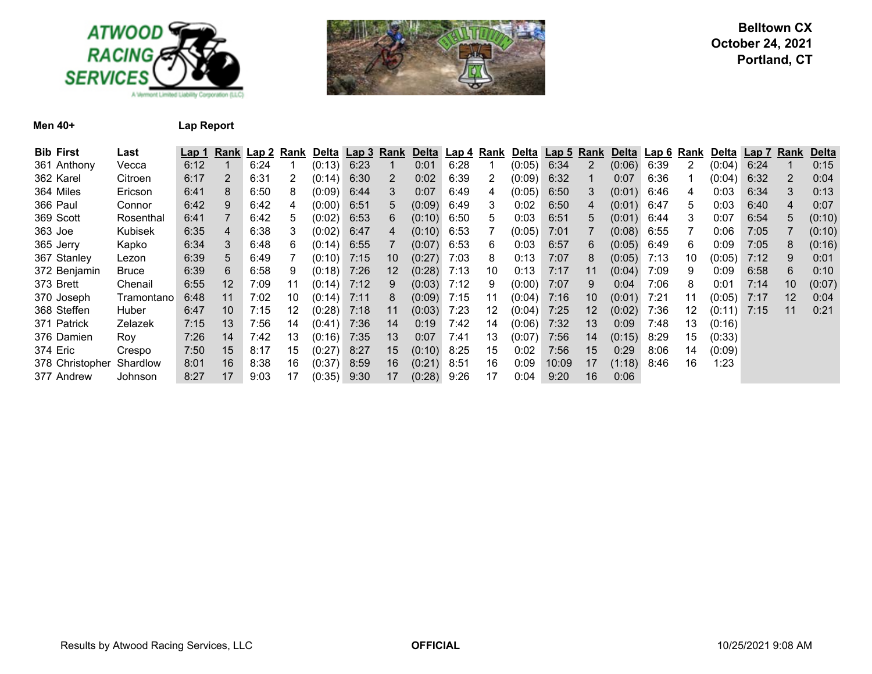



**Men 40+ Lap Report**

| <b>Bib First</b> | Last           | Lap 1 |                 |      | Rank Lap 2 Rank | Delta Lap 3 |      | <u>Rank</u> |        | Delta Lap 4 | Rank | Delta  | Lap 5 Rank |                 | Delta Lap 6   |      | Rank | <b>Delta</b> | Lap 7 | Rank | Delta  |
|------------------|----------------|-------|-----------------|------|-----------------|-------------|------|-------------|--------|-------------|------|--------|------------|-----------------|---------------|------|------|--------------|-------|------|--------|
| 361 Anthony      | Vecca          | 6:12  |                 | 6:24 |                 | (0:13)      | 6:23 |             | 0:01   | 6:28        |      | (0:05) | 6:34       |                 | $(0:06)$ 6:39 |      | 2    | (0:04)       | 6:24  |      | 0:15   |
| 362 Karel        | Citroen        | 6:17  | $\overline{2}$  | 6:31 | 2               | (0:14)      | 6:30 | 2           | 0:02   | 6:39        | 2    | (0:09) | 6:32       |                 | 0:07          | 6:36 |      | (0:04)       | 6:32  | 2    | 0:04   |
| 364 Miles        | Ericson        | 6:41  | 8               | 6:50 | 8               | (0:09)      | 6:44 | 3           | 0:07   | 6:49        | 4    | (0:05) | 6:50       | 3               | $(0.01)$ 6:46 |      | 4    | 0:03         | 6:34  | 3    | 0:13   |
| 366 Paul         | Connor         | 6:42  | 9               | 6:42 | 4               | (0:00)      | 6:51 | 5           | (0:09) | 6:49        | 3    | 0:02   | 6:50       | 4               | $(0.01)$ 6:47 |      | 5.   | 0:03         | 6:40  | 4    | 0:07   |
| 369 Scott        | Rosenthal      | 6:41  | $\overline{7}$  | 6:42 | 5               | (0:02)      | 6:53 | 6           | (0:10) | 6:50        | 5    | 0:03   | 6:51       | 5               | $(0.01)$ 6:44 |      | 3    | 0:07         | 6:54  | 5    | (0:10) |
| 363 Joe          | Kubisek        | 6:35  | 4               | 6:38 | 3               | (0:02)      | 6:47 | 4           | (0:10) | 6:53        |      | (0:05) | 7:01       |                 | $(0.08)$ 6:55 |      |      | 0:06         | 7:05  |      | (0:10) |
| 365 Jerry        | Kapko          | 6:34  | 3               | 6:48 | 6               | (0:14)      | 6:55 |             | (0:07) | 6:53        | 6    | 0:03   | 6:57       | 6               | $(0.05)$ 6:49 |      | 6    | 0:09         | 7:05  | 8    | (0:16) |
| 367 Stanley      | Lezon          | 6:39  | 5               | 6:49 |                 | (0:10)      | 7:15 | 10          | (0:27) | 7:03        | 8    | 0:13   | 7:07       | 8               | (0:05)        | 7:13 | 10   | (0:05)       | 7:12  | 9    | 0:01   |
| 372 Benjamin     | <b>Bruce</b>   | 6:39  | 6               | 6:58 | 9               | (0:18)      | 7:26 | 12          | (0:28) | 7:13        | 10   | 0:13   | 7:17       | 11              | (0:04)        | 7:09 | 9    | 0:09         | 6:58  | 6    | 0:10   |
| 373 Brett        | Chenail        | 6:55  | 12              | 7:09 | 11              | (0:14)      | 7:12 | 9           | (0:03) | 7:12        | 9    | (0:00) | 7:07       | 9               | 0:04          | 7:06 | 8    | 0:01         | 7:14  | 10   | (0:07) |
| 370 Joseph       | Tramontano     | 6:48  | 11              | 7:02 | 10              | (0:14)      | 7:11 | 8           | (0:09) | 7:15        | 11   | (0:04) | 7:16       | 10              | $(0:01)$ 7:21 |      | 11   | (0:05)       | 7:17  | 12   | 0:04   |
| 368 Steffen      | Huber          | 6:47  | 10 <sup>°</sup> | 7:15 | 12              | (0:28)      | 7:18 | 11          | (0:03) | 7:23        | 12   | (0:04) | 7:25       | 12 <sup>2</sup> | (0:02)        | 7:36 | 12   | (0:11)       | 7:15  | 11   | 0:21   |
| 371 Patrick      | Zelazek        | 7:15  | 13              | 7:56 | 14              | (0:41)      | 7:36 | 14          | 0:19   | 7:42        | 14   | (0:06) | 7:32       | 13              | 0:09          | 7:48 | 13   | (0:16)       |       |      |        |
| 376 Damien       | Roy            | 7:26  | 14              | 7:42 | 13              | (0:16)      | 7:35 | 13          | 0:07   | 7:41        | 13   | (0:07) | 7:56       | 14              | (0:15)        | 8:29 | 15   | (0:33)       |       |      |        |
| 374 Eric         | Crespo         | 7:50  | 15              | 8:17 | 15              | (0:27)      | 8:27 | 15          | (0:10) | 8:25        | 15   | 0:02   | 7:56       | 15              | 0:29          | 8:06 | 14   | (0:09)       |       |      |        |
| 378 Christopher  | Shardlow       | 8:01  | 16              | 8:38 | 16              | (0:37)      | 8:59 | 16          | (0:21) | 8:51        | 16   | 0:09   | 10:09      | 17              | $(1:18)$ 8:46 |      | 16   | 1:23         |       |      |        |
| 377 Andrew       | <b>Johnson</b> | 8:27  | 17              | 9:03 | 17              | (0:35)      | 9:30 | 17          | (0:28) | 9:26        | 17   | 0:04   | 9:20       | 16              | 0:06          |      |      |              |       |      |        |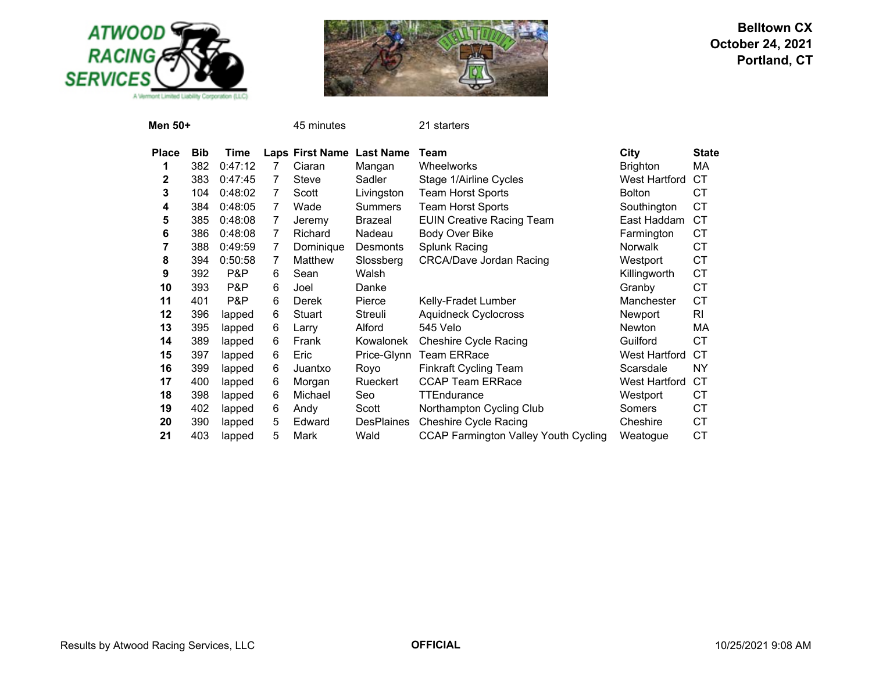



| Men 50+      |            |         |                | 45 minutes                |                   | 21 starters                                 |                      |              |
|--------------|------------|---------|----------------|---------------------------|-------------------|---------------------------------------------|----------------------|--------------|
| <b>Place</b> | <b>Bib</b> | Time    |                | Laps First Name Last Name |                   | Team                                        | City                 | <b>State</b> |
| 1            | 382        | 0:47:12 | 7              | Ciaran                    | Mangan            | <b>Wheelworks</b>                           | <b>Brighton</b>      | MA           |
| 2            | 383        | 0:47:45 | 7              | <b>Steve</b>              | Sadler            | Stage 1/Airline Cycles                      | <b>West Hartford</b> | СT           |
| 3            | 104        | 0:48:02 | 7              | Scott                     | Livingston        | <b>Team Horst Sports</b>                    | <b>Bolton</b>        | <b>CT</b>    |
| 4            | 384        | 0:48:05 | $\overline{7}$ | Wade                      | <b>Summers</b>    | Team Horst Sports                           | Southington          | <b>CT</b>    |
| 5            | 385        | 0:48:08 | 7              | Jeremy                    | Brazeal           | <b>EUIN Creative Racing Team</b>            | East Haddam          | <b>CT</b>    |
| 6            | 386        | 0:48:08 | 7              | <b>Richard</b>            | Nadeau            | Body Over Bike                              | Farmington           | <b>CT</b>    |
| 7            | 388        | 0:49:59 | 7              | Dominique                 | Desmonts          | Splunk Racing                               | <b>Norwalk</b>       | <b>CT</b>    |
| 8            | 394        | 0:50:58 | 7              | Matthew                   | Slossberg         | <b>CRCA/Dave Jordan Racing</b>              | Westport             | <b>CT</b>    |
| 9            | 392        | P&P     | 6              | Sean                      | Walsh             |                                             | Killingworth         | <b>CT</b>    |
| 10           | 393        | P&P     | 6              | Joel                      | Danke             |                                             | Granby               | <b>CT</b>    |
| 11           | 401        | P&P     | 6              | Derek                     | Pierce            | Kelly-Fradet Lumber                         | Manchester           | CT           |
| 12           | 396        | lapped  | 6              | Stuart                    | Streuli           | <b>Aquidneck Cyclocross</b>                 | Newport              | RI           |
| 13           | 395        | lapped  | 6              | Larry                     | Alford            | 545 Velo                                    | <b>Newton</b>        | MA           |
| 14           | 389        | lapped  | 6              | Frank                     | Kowalonek         | <b>Cheshire Cycle Racing</b>                | Guilford             | <b>CT</b>    |
| 15           | 397        | lapped  | 6              | Eric                      | Price-Glynn       | <b>Team ERRace</b>                          | <b>West Hartford</b> | СT           |
| 16           | 399        | lapped  | 6              | Juantxo                   | Royo              | <b>Finkraft Cycling Team</b>                | Scarsdale            | <b>NY</b>    |
| 17           | 400        | lapped  | 6              | Morgan                    | Rueckert          | <b>CCAP Team ERRace</b>                     | West Hartford        | СT           |
| 18           | 398        | lapped  | 6              | Michael                   | Seo               | <b>TTEndurance</b>                          | Westport             | СT           |
| 19           | 402        | lapped  | 6              | Andy                      | Scott             | Northampton Cycling Club                    | Somers               | <b>CT</b>    |
| 20           | 390        | lapped  | 5              | Edward                    | <b>DesPlaines</b> | <b>Cheshire Cycle Racing</b>                | Cheshire             | <b>CT</b>    |
| 21           | 403        | lapped  | 5              | Mark                      | Wald              | <b>CCAP Farmington Valley Youth Cycling</b> | Weatoque             | CT           |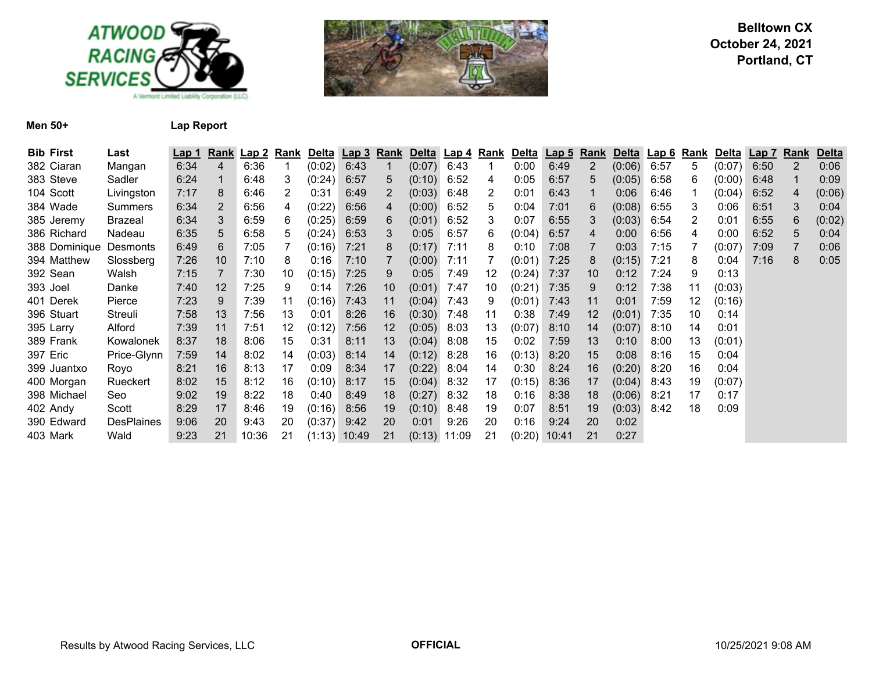



**Men 50+ Lap Report**

| <b>Bib First</b>       | Last              | Lap 1 |    | Rank Lap 2 | Rank | <b>Delta</b> | Lap 3 Rank     |    | <b>Delta</b>   | Lap 4 | Rank | Delta  | <u>Lap 5</u> | Rank           | <b>Delta</b> | <u>∖ Lap 6</u> | Rank | Delta  | Lap <sub>7</sub> | Rank           | <b>Delta</b> |
|------------------------|-------------------|-------|----|------------|------|--------------|----------------|----|----------------|-------|------|--------|--------------|----------------|--------------|----------------|------|--------|------------------|----------------|--------------|
| 382 Ciaran             | Mangan            | 6:34  | 4  | 6:36       |      | (0:02)       | 6:43           |    | (0:07)         | 6:43  |      | 0:00   | 6:49         | $\overline{2}$ | (0:06)       | 6:57           | 5    | (0:07) | 6:50             | $\overline{2}$ | 0:06         |
| 383 Steve              | Sadler            | 6:24  |    | 6:48       | 3    | (0:24)       | 6:57           | 5  | (0:10)         | 6:52  | 4    | 0:05   | 6:57         | 5              | (0:05)       | 6:58           | 6    | (0:00) | 6:48             |                | 0:09         |
| 104 Scott              | Livingston        | 7:17  | 8  | 6:46       | 2    | 0:31         | 6:49           | 2  | (0:03)         | 6:48  | 2    | 0:01   | 6:43         |                | 0:06         | 6:46           |      | (0:04) | 6:52             | 4              | (0:06)       |
| 384 Wade               | Summers           | 6:34  | 2  | 6:56       | 4    | (0:22)       | 6:56           | 4  | (0:00)         | 6:52  | 5    | 0:04   | 7:01         | 6              | (0:08)       | 6:55           | 3    | 0:06   | 6:51             | 3              | 0:04         |
| 385 Jeremy             | Brazeal           | 6:34  | 3  | 6:59       | 6    | (0:25)       | 6:59           | 6  | (0:01)         | 6:52  | 3    | 0:07   | 6:55         | 3              | (0:03)       | 6:54           | 2    | 0:01   | 6:55             | 6              | (0:02)       |
| 386 Richard            | Nadeau            | 6:35  | 5  | 6:58       | 5    | (0:24)       | 6:53           | 3  | 0:05           | 6:57  | 6    | (0:04) | 6:57         | 4              | 0:00         | 6:56           | 4    | 0:00   | 6:52             | 5              | 0:04         |
| 388 Dominique Desmonts |                   | 6:49  | 6  | 7:05       |      | (0:16)       | 7:21           | 8  | (0:17)         | 7:11  | 8    | 0:10   | 7:08         |                | 0:03         | 7:15           |      | (0:07) | 7:09             |                | 0:06         |
| 394 Matthew            | Slossberg         | 7:26  | 10 | 7:10       | 8    | 0:16         | 7:10           |    | (0:00)         | 7:11  |      | (0:01) | 7:25         | 8              | (0:15)       | 7:21           | 8    | 0:04   | 7:16             | 8              | 0:05         |
| 392 Sean               | Walsh             | 7:15  |    | 7:30       | 10   | (0:15)       | 7:25           | 9  | 0:05           | 7:49  | 12   | (0:24) | 7:37         | 10             | 0:12         | 7:24           | 9    | 0:13   |                  |                |              |
| 393 Joel               | Danke             | 7:40  | 12 | 7:25       | 9    | 0:14         | 7:26           | 10 | (0:01)         | 7:47  | 10   | (0:21) | 7:35         | 9              | 0:12         | 7:38           | 11   | (0:03) |                  |                |              |
| 401 Derek              | Pierce            | 7:23  | 9  | 7:39       | 11   | (0:16)       | 7:43           | 11 | (0:04)         | 7:43  | 9    | (0:01) | 7:43         | 11             | 0:01         | 7:59           | 12   | (0:16) |                  |                |              |
| 396 Stuart             | Streuli           | 7:58  | 13 | 7:56       | 13   | 0:01         | 8:26           | 16 | (0:30)         | 7:48  | 11   | 0:38   | 7:49         | 12             | (0:01)       | 7:35           | 10   | 0:14   |                  |                |              |
| 395 Larry              | Alford            | 7:39  | 11 | 7:51       | 12   | (0:12)       | 7:56           | 12 | (0:05)         | 8:03  | 13   | (0:07) | 8:10         | 14             | (0:07)       | 8:10           | 14   | 0:01   |                  |                |              |
| 389 Frank              | Kowalonek         | 8:37  | 18 | 8:06       | 15   | 0:31         | 8:11           | 13 | (0:04)         | 8:08  | 15   | 0:02   | 7:59         | 13             | 0:10         | 8:00           | 13   | (0:01) |                  |                |              |
| 397 Eric               | Price-Glynn       | 7:59  | 14 | 8:02       | 14   | (0:03)       | 8:14           | 14 | (0:12)         | 8:28  | 16   | (0:13) | 8:20         | 15             | 0:08         | 8:16           | 15   | 0:04   |                  |                |              |
| 399 Juantxo            | Royo              | 8:21  | 16 | 8:13       | 17   | 0:09         | 8:34           | 17 | (0:22)         | 8:04  | 14   | 0:30   | 8:24         | 16             | (0:20)       | 8:20           | 16   | 0:04   |                  |                |              |
| 400 Morgan             | Rueckert          | 8:02  | 15 | 8:12       | 16   | (0:10)       | 8:17           | 15 | (0:04)         | 8:32  | 17   | (0:15) | 8:36         | 17             | (0:04)       | 8:43           | 19   | (0:07) |                  |                |              |
| 398 Michael            | Seo               | 9:02  | 19 | 8:22       | 18   | 0:40         | 8:49           | 18 | (0:27)         | 8:32  | 18   | 0:16   | 8:38         | 18             | (0:06)       | 8:21           | 17   | 0:17   |                  |                |              |
| 402 Andy               | Scott             | 8:29  | 17 | 8:46       | 19   | (0:16)       | 8:56           | 19 | (0:10)         | 8:48  | 19   | 0:07   | 8:51         | 19             | (0:03)       | 8:42           | 18   | 0:09   |                  |                |              |
| 390 Edward             | <b>DesPlaines</b> | 9:06  | 20 | 9:43       | 20   | (0:37)       | 9:42           | 20 | 0:01           | 9:26  | 20   | 0:16   | 9:24         | 20             | 0:02         |                |      |        |                  |                |              |
| 403 Mark               | Wald              | 9:23  | 21 | 10:36      | 21   |              | $(1:13)$ 10:49 | 21 | $(0:13)$ 11:09 |       | 21   | (0:20) | 10:41        | 21             | 0:27         |                |      |        |                  |                |              |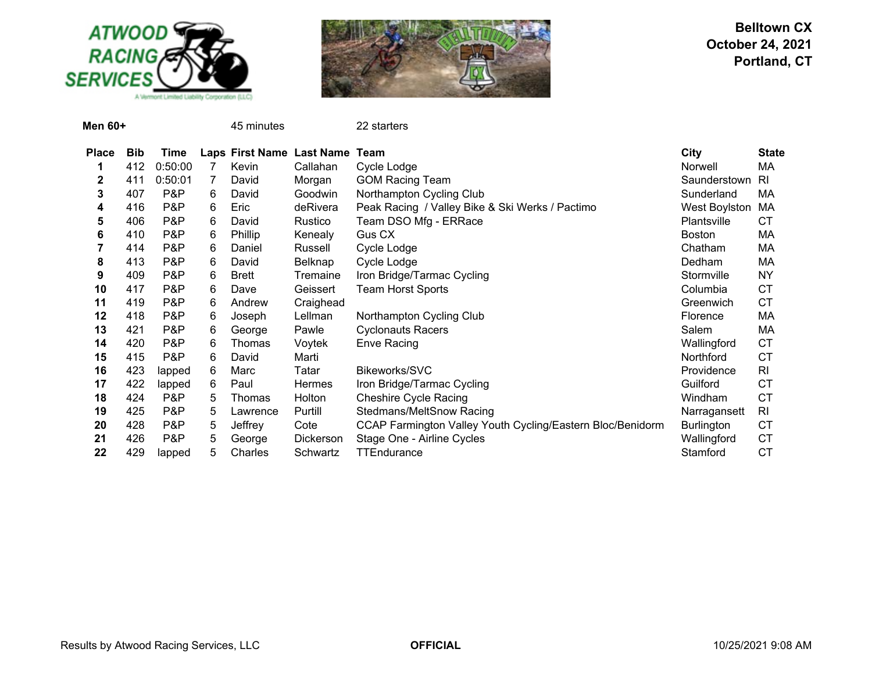



| Men 60+      |            |         |   | 45 minutes   |                                | 22 starters                                                |                      |              |
|--------------|------------|---------|---|--------------|--------------------------------|------------------------------------------------------------|----------------------|--------------|
| <b>Place</b> | <b>Bib</b> | Time    |   |              | Laps First Name Last Name Team |                                                            | City                 | <b>State</b> |
| 1            | 412        | 0:50:00 | 7 | Kevin        | Callahan                       | Cycle Lodge                                                | Norwell              | МA           |
| 2            | 411        | 0:50:01 |   | David        | Morgan                         | <b>GOM Racing Team</b>                                     | Saunderstown         | <b>RI</b>    |
| 3            | 407        | P&P     | 6 | David        | Goodwin                        | Northampton Cycling Club                                   | Sunderland           | МA           |
| 4            | 416        | P&P     | 6 | Eric         | deRivera                       | Peak Racing / Valley Bike & Ski Werks / Pactimo            | <b>West Boylston</b> | МA           |
| 5            | 406        | P&P     | 6 | David        | Rustico                        | Team DSO Mfg - ERRace                                      | Plantsville          | CТ           |
| 6            | 410        | P&P     | 6 | Phillip      | Kenealy                        | Gus CX                                                     | <b>Boston</b>        | МA           |
|              | 414        | P&P     | 6 | Daniel       | Russell                        | Cycle Lodge                                                | Chatham              | МA           |
| 8            | 413        | P&P     | 6 | David        | <b>Belknap</b>                 | Cycle Lodge                                                | Dedham               | МA           |
| 9            | 409        | P&P     | 6 | <b>Brett</b> | Tremaine                       | Iron Bridge/Tarmac Cycling                                 | Stormville           | ΝY           |
| 10           | 417        | P&P     | 6 | Dave         | Geissert                       | <b>Team Horst Sports</b>                                   | Columbia             | CТ           |
| 11           | 419        | P&P     | 6 | Andrew       | Craighead                      |                                                            | Greenwich            | <b>CT</b>    |
| 12           | 418        | P&P     | 6 | Joseph       | Lellman                        | Northampton Cycling Club                                   | Florence             | МA           |
| 13           | 421        | P&P     | 6 | George       | Pawle                          | <b>Cyclonauts Racers</b>                                   | Salem                | МA           |
| 14           | 420        | P&P     | 6 | Thomas       | Voytek                         | <b>Enve Racing</b>                                         | Wallingford          | <b>CT</b>    |
| 15           | 415        | P&P     | 6 | David        | Marti                          |                                                            | Northford            | СT           |
| 16           | 423        | lapped  | 6 | Marc         | Tatar                          | Bikeworks/SVC                                              | Providence           | RI           |
| 17           | 422        | lapped  | 6 | Paul         | <b>Hermes</b>                  | Iron Bridge/Tarmac Cycling                                 | Guilford             | СT           |
| 18           | 424        | P&P     | 5 | Thomas       | Holton                         | <b>Cheshire Cycle Racing</b>                               | Windham              | СT           |
| 19           | 425        | P&P     | 5 | Lawrence     | Purtill                        | Stedmans/MeltSnow Racing                                   | Narragansett         | RI           |
| 20           | 428        | P&P     | 5 | Jeffrey      | Cote                           | CCAP Farmington Valley Youth Cycling/Eastern Bloc/Benidorm | <b>Burlington</b>    | СT           |
| 21           | 426        | P&P     | 5 | George       | Dickerson                      | Stage One - Airline Cycles                                 | Wallingford          | СT           |
| 22           | 429        | lapped  | 5 | Charles      | Schwartz                       | <b>TTEndurance</b>                                         | Stamford             | СT           |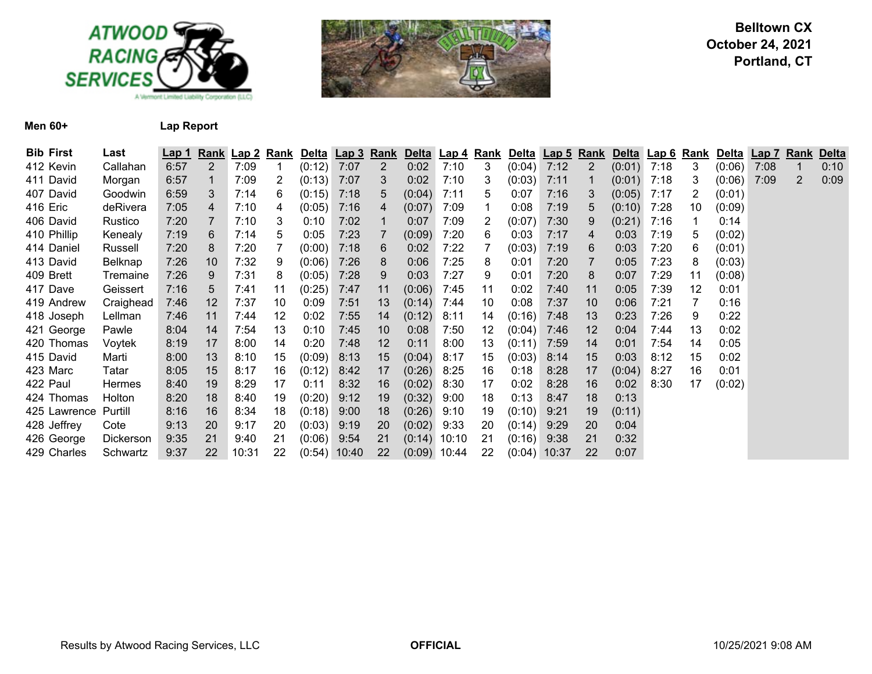



**Men 60+ Lap Report**

| <b>Bib First</b> | Last      | <u>Lap 1</u> |                | Rank Lap 2 Rank |    | Delta Lap 3 Rank |       |                |                |      |    | Delta Lap 4 Rank Delta Lap 5 Rank |       |                | Delta Lap 6 Rank |      |    | Delta  | <b>Lap 7</b> | Rank | <b>Delta</b> |
|------------------|-----------|--------------|----------------|-----------------|----|------------------|-------|----------------|----------------|------|----|-----------------------------------|-------|----------------|------------------|------|----|--------|--------------|------|--------------|
| 412 Kevin        | Callahan  | 6:57         | $\overline{2}$ | 7:09            |    | (0:12)           | 7:07  | $\overline{2}$ | 0:02           | 7:10 | 3  | (0:04)                            | 7:12  | $\overline{2}$ | (0:01)           | 7:18 | 3  | (0:06) | 7:08         |      | 0:10         |
| 411 David        | Morgan    | 6:57         |                | 7:09            | 2  | (0:13)           | 7:07  | 3              | 0:02           | 7:10 | 3  | (0:03)                            | 7:11  |                | $(0:01)$ 7:18    |      | 3  | (0:06) | 7:09         | 2    | 0:09         |
| 407 David        | Goodwin   | 6:59         | 3              | 7:14            | 6  | (0:15)           | 7:18  | 5              | (0:04)         | 7:11 | 5  | 0:07                              | 7:16  | 3              | $(0:05)$ 7:17    |      | 2  | (0:01) |              |      |              |
| 416 Eric         | deRivera  | 7:05         | 4              | 7:10            | 4  | (0:05)           | 7:16  | 4              | (0:07)         | 7:09 | 1  | 0:08                              | 7:19  | 5              | $(0:10)$ 7:28    |      | 10 | (0:09) |              |      |              |
| 406 David        | Rustico   | 7:20         |                | 7:10            | 3  | 0:10             | 7:02  |                | 0:07           | 7:09 | 2  | (0:07)                            | 7:30  | 9              | (0:21)           | 7:16 |    | 0:14   |              |      |              |
| 410 Phillip      | Kenealy   | 7:19         | 6              | 7:14            | 5  | 0:05             | 7:23  |                | (0:09)         | 7:20 | 6  | 0:03                              | 7:17  | 4              | 0:03             | 7:19 | 5  | (0:02) |              |      |              |
| 414 Daniel       | Russell   | 7:20         | 8              | 7:20            |    | (0:00)           | 7:18  | 6              | 0:02           | 7:22 |    | (0:03)                            | 7:19  | 6              | 0:03             | 7:20 | 6  | (0:01) |              |      |              |
| 413 David        | Belknap   | 7:26         | 10             | 7:32            | 9  | (0:06)           | 7:26  | 8              | 0:06           | 7:25 | 8  | 0:01                              | 7:20  |                | 0:05             | 7:23 | 8  | (0:03) |              |      |              |
| 409 Brett        | Tremaine  | 7:26         | 9              | 7:31            | 8  | (0:05)           | 7:28  | 9              | 0:03           | 7:27 | 9  | 0:01                              | 7:20  | 8              | 0:07             | 7:29 | 11 | (0:08) |              |      |              |
| 417 Dave         | Geissert  | 7:16         | 5              | 7:41            | 11 | (0:25)           | 7:47  | 11             | (0:06)         | 7:45 | 11 | 0:02                              | 7:40  | 11             | 0:05             | 7:39 | 12 | 0:01   |              |      |              |
| 419 Andrew       | Craighead | 7:46         | 12             | 7:37            | 10 | 0:09             | 7:51  | 13             | (0:14)         | 7:44 | 10 | 0:08                              | 7:37  | 10             | 0:06             | 7:21 | 7  | 0:16   |              |      |              |
| 418 Joseph       | Lellman   | 7:46         | 11             | 7:44            | 12 | 0:02             | 7:55  | 14             | (0:12)         | 8:11 | 14 | (0:16)                            | 7:48  | 13             | 0:23             | 7:26 | 9  | 0:22   |              |      |              |
| 421 George       | Pawle     | 8:04         | 14             | 7:54            | 13 | 0:10             | 7:45  | 10             | 0:08           | 7:50 | 12 | (0:04)                            | 7:46  | 12             | 0:04             | 7:44 | 13 | 0:02   |              |      |              |
| 420 Thomas       | Voytek    | 8:19         | 17             | 8:00            | 14 | 0:20             | 7:48  | 12             | 0:11           | 8:00 | 13 | (0:11)                            | 7:59  | 14             | 0:01             | 7:54 | 14 | 0:05   |              |      |              |
| 415 David        | Marti     | 8:00         | 13             | 8:10            | 15 | (0:09)           | 8:13  | 15             | (0:04)         | 8:17 | 15 | (0:03)                            | 8:14  | 15             | 0:03             | 8:12 | 15 | 0:02   |              |      |              |
| 423 Marc         | Tatar     | 8:05         | 15             | 8:17            | 16 | (0:12)           | 8:42  | 17             | (0:26)         | 8:25 | 16 | 0:18                              | 8:28  | 17             | (0:04)           | 8:27 | 16 | 0:01   |              |      |              |
| 422 Paul         | Hermes    | 8:40         | 19             | 8:29            | 17 | 0:11             | 8:32  | 16             | (0:02)         | 8:30 | 17 | 0:02                              | 8:28  | 16             | 0:02             | 8:30 | 17 | (0:02) |              |      |              |
| 424 Thomas       | Holton    | 8:20         | 18             | 8:40            | 19 | (0:20)           | 9:12  | 19             | (0:32)         | 9:00 | 18 | 0:13                              | 8:47  | 18             | 0:13             |      |    |        |              |      |              |
| 425 Lawrence     | Purtill   | 8:16         | 16             | 8:34            | 18 | (0:18)           | 9:00  | 18             | (0:26)         | 9:10 | 19 | (0:10)                            | 9:21  | 19             | (0:11)           |      |    |        |              |      |              |
| 428 Jeffrey      | Cote      | 9:13         | 20             | 9:17            | 20 | (0:03)           | 9:19  | 20             | (0:02)         | 9:33 | 20 | (0:14)                            | 9:29  | 20             | 0:04             |      |    |        |              |      |              |
| 426 George       | Dickerson | 9:35         | 21             | 9:40            | 21 | (0:06)           | 9:54  | 21             | $(0:14)$ 10:10 |      | 21 | (0:16)                            | 9:38  | 21             | 0:32             |      |    |        |              |      |              |
| 429 Charles      | Schwartz  | 9:37         | 22             | 10:31           | 22 | (0:54)           | 10:40 | 22             | $(0.09)$ 10:44 |      | 22 | (0:04)                            | 10:37 | 22             | 0:07             |      |    |        |              |      |              |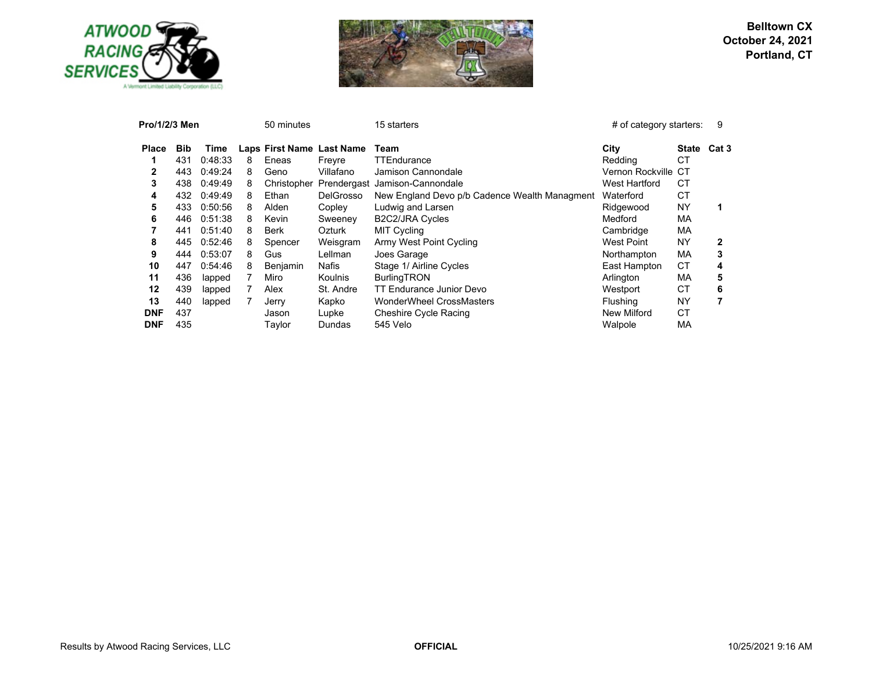



| Pro/1/2/3 Men |            |         |   | 50 minutes                |                  | 15 starters                                   | # of category starters: |              | 9                |
|---------------|------------|---------|---|---------------------------|------------------|-----------------------------------------------|-------------------------|--------------|------------------|
| <b>Place</b>  | <b>Bib</b> | Time    |   | Laps First Name Last Name |                  | Team                                          | City                    | <b>State</b> | Cat <sub>3</sub> |
|               | 431        | 0:48:33 | 8 | Eneas                     | Freyre           | TTEndurance                                   | Redding                 | <b>CT</b>    |                  |
| 2             | 443        | 0:49:24 | 8 | Geno                      | Villafano        | Jamison Cannondale                            | Vernon Rockville CT     |              |                  |
| 3             | 438        | 0:49:49 | 8 | Christopher               |                  | Prendergast Jamison-Cannondale                | West Hartford           | СT           |                  |
| 4             | 432        | 0:49:49 | 8 | Ethan                     | <b>DelGrosso</b> | New England Devo p/b Cadence Wealth Managment | Waterford               | СT           |                  |
| 5             | 433        | 0:50:56 | 8 | Alden                     | Copley           | Ludwig and Larsen                             | Ridgewood               | <b>NY</b>    |                  |
| 6             | 446        | 0:51:38 | 8 | Kevin                     | Sweeney          | B2C2/JRA Cycles                               | Medford                 | МA           |                  |
|               | 441        | 0:51:40 | 8 | <b>Berk</b>               | Ozturk           | <b>MIT Cycling</b>                            | Cambridge               | МA           |                  |
| 8             | 445        | 0:52:46 | 8 | Spencer                   | Weisgram         | Army West Point Cycling                       | West Point              | NY           | 2                |
| 9             | 444        | 0:53:07 | 8 | Gus                       | Lellman          | Joes Garage                                   | Northampton             | МA           | 3                |
| 10            | 447        | 0:54:46 | 8 | Benjamin                  | Nafis            | Stage 1/ Airline Cycles                       | East Hampton            | СT           | 4                |
| 11            | 436        | lapped  |   | Miro                      | <b>Koulnis</b>   | <b>BurlingTRON</b>                            | Arlington               | MA           | 5                |
| 12            | 439        | lapped  |   | Alex                      | St. Andre        | <b>TT Endurance Junior Devo</b>               | Westport                | СT           | 6                |
| 13            | 440        | lapped  |   | Jerry                     | Kapko            | <b>WonderWheel CrossMasters</b>               | <b>Flushing</b>         | NY           |                  |
| <b>DNF</b>    | 437        |         |   | Jason                     | Lupke            | Cheshire Cycle Racing                         | New Milford             | СT           |                  |
| <b>DNF</b>    | 435        |         |   | Taylor                    | Dundas           | 545 Velo                                      | Walpole                 | MA           |                  |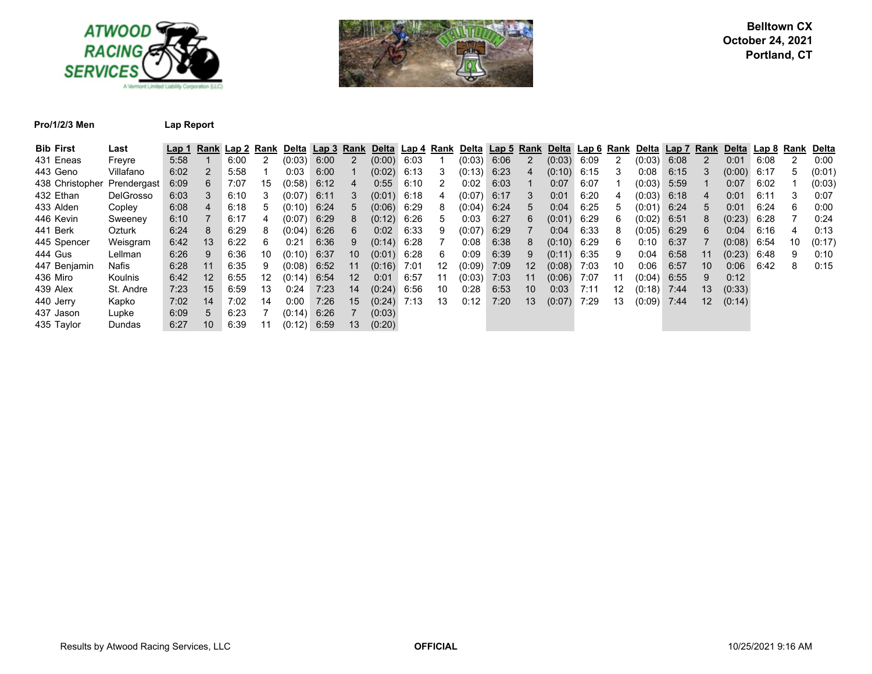



**Pro/1/2/3 Men Lap Report**

| <b>Bib First</b> | Last             | Lap 1 | <b>Rank</b>     |      | Lap 2 Rank | Delta l | Lap <sub>3</sub> | Rank            | Delta Lap 4 Rank |      |                   |        |      |    | Delta Lap 5 Rank Delta Lap 6 Rank Delta |      |    |               | Lap 7 | Rank            | Delta  | Lap 8 Rank |    | Delta  |
|------------------|------------------|-------|-----------------|------|------------|---------|------------------|-----------------|------------------|------|-------------------|--------|------|----|-----------------------------------------|------|----|---------------|-------|-----------------|--------|------------|----|--------|
| 431 Eneas        | Freyre           | 5:58  |                 | 6:00 |            | (0:03)  | 6:00             |                 | (0:00)           | 6:03 |                   | (0:03) | 6:06 | 2  | (0:03)                                  | 6:09 |    | (0:03)        | 6:08  |                 | 0:01   | 6:08       |    | 0:00   |
| 443 Geno         | Villafano        | 6:02  |                 | 5:58 |            | 0:03    | 6:00             |                 | (0:02)           | 6:13 | 3                 | (0:13) | 6:23 | 4  | (0:10)                                  | 6:15 | 3  | 0:08          | 6:15  |                 | (0:00) | 6:17       |    | (0:01) |
| 438 Christopher  | Prendergast      | 6:09  | 6               | 7:07 | 15         | (0:58)  | 6:12             | 4               | 0:55             | 6:10 |                   | 0:02   | 6:03 |    | 0:07                                    | 6:07 |    | (0:03)        | 5:59  |                 | 0:07   | 6:02       |    | (0:03) |
| 432 Ethan        | <b>DelGrosso</b> | 6:03  | 3               | 6:10 | 3          | (0:07)  | 6:11             |                 | (0:01)           | 6:18 | 4                 | (0:07) | 6:17 | 3  | 0:01                                    | 6:20 | 4  | (0:03)        | 6:18  |                 | 0:01   | 6:11       |    | 0:07   |
| 433 Alden        | Copley           | 6:08  | 4               | 6:18 | 5          | (0:10)  | 6:24             | 5               | (0:06)           | 6:29 | 8                 | (0:04) | 6:24 | 5. | 0:04                                    | 6:25 | 5  | (0:01)        | 6:24  | $5^{\circ}$     | 0:01   | 6:24       | 6  | 0:00   |
| 446 Kevin        | Sweeney          | 6:10  |                 | 6:17 | 4          | (0:07)  | 6:29             | 8               | (0:12)           | 6:26 | 5                 | 0:03   | 6:27 | 6  | (0:01)                                  | 6:29 | 6  | $(0:02)$ 6:51 |       | 8               | (0:23) | 6:28       |    | 0:24   |
| 441 Berk         | Ozturk           | 6:24  | 8               | 6:29 | 8          | (0:04)  | 6:26             | 6               | 0:02             | 6:33 | 9                 | (0:07) | 6:29 |    | 0:04                                    | 6:33 | 8  | (0:05)        | 6:29  | 6               | 0:04   | 6:16       | 4  | 0:13   |
| 445 Spencer      | Weisgram         | 6:42  | 13              | 6:22 | 6          | 0:21    | 6:36             | 9               | (0:14)           | 6:28 |                   | 0:08   | 6:38 | 8. | (0:10)                                  | 6:29 | 6  | 0:10          | 6:37  |                 | (0:08) | 6:54       | 10 | (0:17) |
| 444 Gus          | Lellman          | 6:26  | 9               | 6:36 | 10         | (0:10)  | 6:37             | 10 <sup>°</sup> | $(0.01)$ 6:28    |      | 6                 | 0:09   | 6:39 | 9  | (0:11)                                  | 6:35 | 9  | 0:04          | 6:58  | 11              | (0:23) | 6:48       | 9  | 0:10   |
| 447 Benjamin     | Nafis            | 6:28  | 11              | 6:35 | 9          | (0:08)  | 6:52             | 11              | (0:16)           | 7:01 | $12 \overline{ }$ | (0:09) | 7:09 | 12 | (0:08)                                  | 7:03 | 10 | 0:06          | 6:57  | 10              | 0:06   | 6:42       | 8  | 0:15   |
| 436 Miro         | Koulnis          | 6:42  | 12              | 6:55 | 12         | (0:14)  | 6:54             | 12 <sup>°</sup> | 0:01             | 6:57 | 11                | (0:03) | 7:03 | 11 | (0:06)                                  | 7:07 | 11 | (0:04)        | 6:55  | 9               | 0:12   |            |    |        |
| 439 Alex         | St. Andre        | 7:23  | 15              | 6:59 | 13         | 0:24    | 7:23             | 14              | (0:24)           | 6:56 | 10                | 0:28   | 6:53 | 10 | 0:03                                    | 7:11 | 12 | (0:18)        | 7:44  | 13              | (0:33) |            |    |        |
| 440 Jerry        | Kapko            | 7:02  | 14              | 7:02 | 14         | 0:00    | 7:26             | 15              | (0:24)           | 7:13 | 13                | 0:12   | 7:20 | 13 | (0:07)                                  | 7:29 | 13 | (0:09)        | 7:44  | 12 <sup>°</sup> | (0:14) |            |    |        |
| 437 Jason        | Lupke            | 6:09  | 5               | 6:23 |            | (0:14)  | 6:26             |                 | (0:03)           |      |                   |        |      |    |                                         |      |    |               |       |                 |        |            |    |        |
| 435 Taylor       | Dundas           | 6:27  | 10 <sup>°</sup> | 6:39 | 11         | (0:12)  | 6:59             | 13              | (0:20)           |      |                   |        |      |    |                                         |      |    |               |       |                 |        |            |    |        |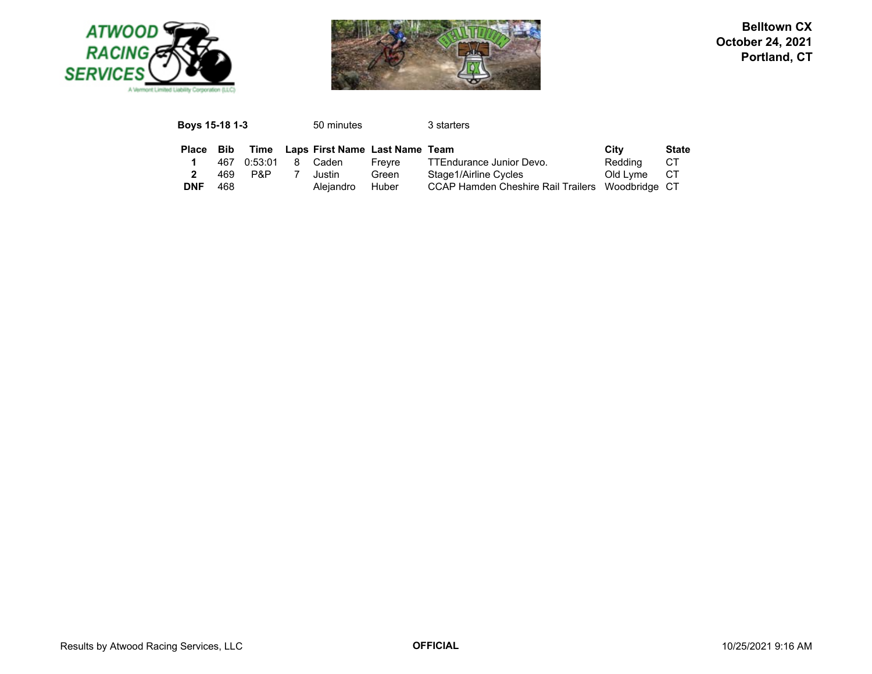



| <b>Boys 15-18 1-3</b> |     |         | 50 minutes                     |        | 3 starters                                       |          |              |
|-----------------------|-----|---------|--------------------------------|--------|--------------------------------------------------|----------|--------------|
| <b>Place</b>          | Bib | Time    | Laps First Name Last Name Team |        |                                                  | City     | <b>State</b> |
|                       | 467 | 0:53:01 | Caden                          | Frevre | TTEndurance Junior Devo.                         | Redding  | CТ           |
|                       | 469 | P&P     | Justin                         | Green  | Stage1/Airline Cycles                            | Old Lyme | CТ           |
| <b>DNF</b>            | 468 |         | Aleiandro                      | Huber  | CCAP Hamden Cheshire Rail Trailers Woodbridge CT |          |              |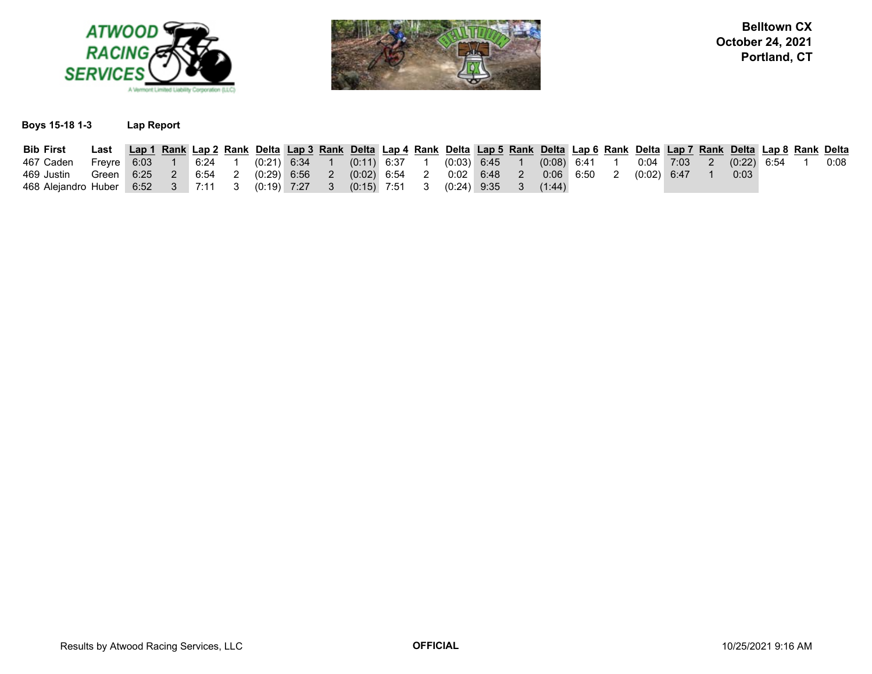



### **Boys 15-18 1-3 Lap Report**

| <b>Bib First</b>                                                                                                 | Last Lap 1 Rank Lap 2 Rank Delta Lap 3 Rank Delta Lap 4 Rank Delta Lap 5 Rank Delta Lap 6 Rank Delta Lap 7 Rank Delta Lap 8 Rank Delta |  |  |  |  |  |  |  |  |  |      |  |      |
|------------------------------------------------------------------------------------------------------------------|----------------------------------------------------------------------------------------------------------------------------------------|--|--|--|--|--|--|--|--|--|------|--|------|
| 467 Caden Freyre 6:03 1 6:24 1 (0:21) 6:34 1 (0:11) 6:37 1 (0:03) 6:45 1 (0:08) 6:41 1 0:04 7:03 2 (0:22) 6:54 1 |                                                                                                                                        |  |  |  |  |  |  |  |  |  |      |  | 0:08 |
| 469 Justin                                                                                                       | Green 6:25  2  6:54  2  (0:29)  6:56  2  (0:02)  6:54  2  0:02  6:48  2  0:06  6:50  2  (0:02)  6:47                                   |  |  |  |  |  |  |  |  |  | 0:03 |  |      |
| 468 Alejandro Huber 6:52 3 7:11 3 (0:19) 7:27 3 (0:15) 7:51 3 (0:24) 9:35 3 (1:44)                               |                                                                                                                                        |  |  |  |  |  |  |  |  |  |      |  |      |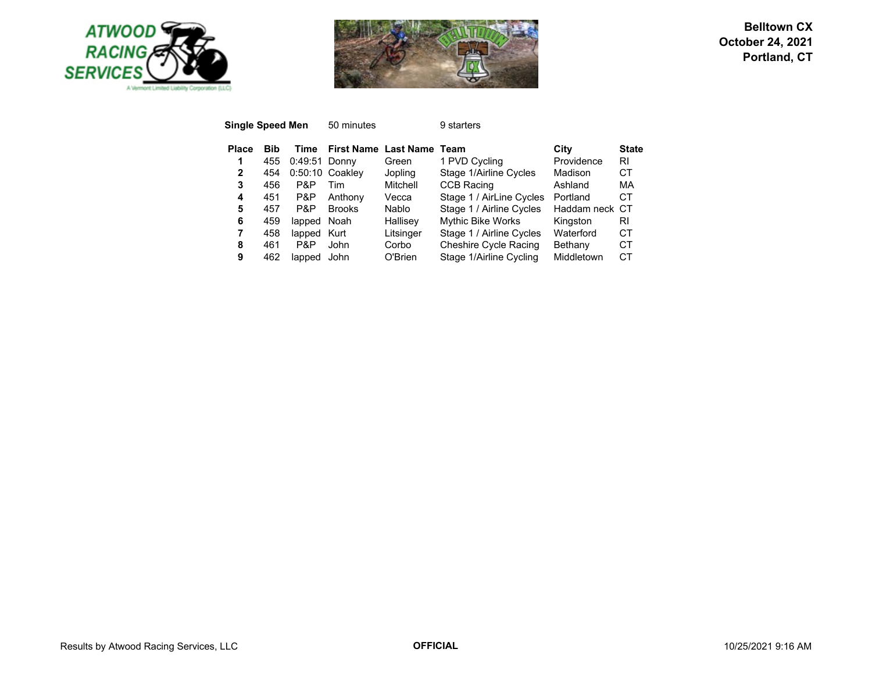



|            |        | 50 minutes              |                                              | 9 starters               |                  |              |
|------------|--------|-------------------------|----------------------------------------------|--------------------------|------------------|--------------|
| <b>Bib</b> | Time   | <b>First Name</b>       |                                              | Team                     | City             | <b>State</b> |
| 455        |        |                         | Green                                        | 1 PVD Cycling            | Providence       | RI           |
| 454        |        |                         | Jopling                                      | Stage 1/Airline Cycles   | Madison          | СT           |
| 456        | P&P    | Tim                     | Mitchell                                     | <b>CCB Racing</b>        | Ashland          | МA           |
| 451        | P&P    | Anthony                 | Vecca                                        | Stage 1 / AirLine Cycles | Portland         | СT           |
| 457        | P&P    | <b>Brooks</b>           | Nablo.                                       | Stage 1 / Airline Cycles | Haddam neck CT   |              |
| 459        | lapped | Noah                    | Hallisey                                     | <b>Mythic Bike Works</b> | Kingston         | RI           |
| 458        | lapped |                         | Litsinger                                    | Stage 1 / Airline Cycles | Waterford        | СT           |
| 461        | P&P    | John                    | Corbo                                        | Cheshire Cycle Racing    | Bethany          | СT           |
| 462        | lapped | John                    | O'Brien                                      | Stage 1/Airline Cycling  | Middletown       | CТ           |
|            |        | <b>Single Speed Men</b> | $0:49:51$ Donny<br>$0:50:10$ Coakley<br>Kurt |                          | <b>Last Name</b> |              |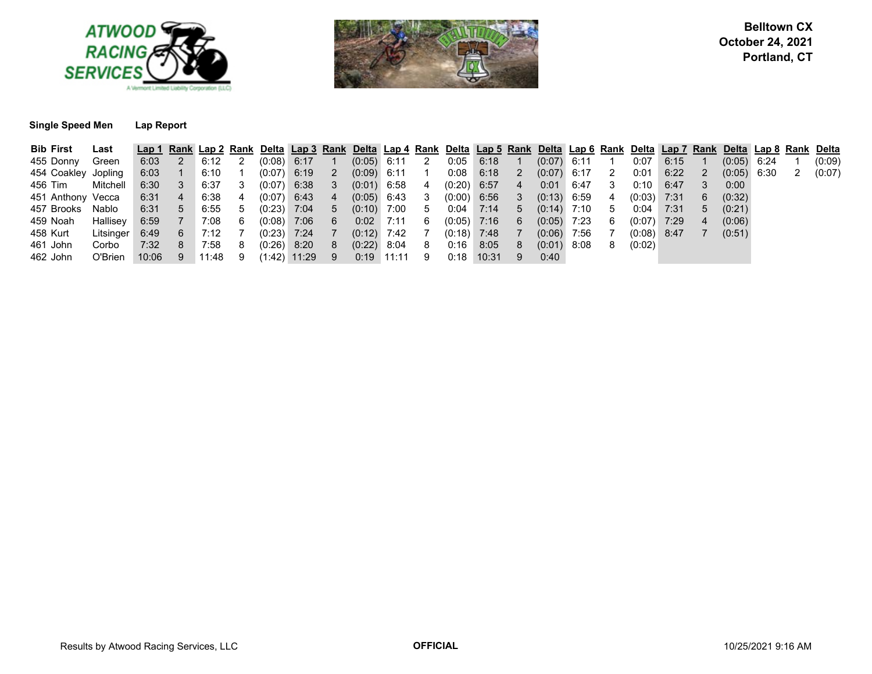



#### **Single Speed Men Lap Report**

| <b>Bib First</b>    | Last                    |        |                 |      |                            |                  |               |                |                 |                            |               |               |                | Lap 1 Rank Lap 2 Rank Delta Lap 3 Rank Delta Lap 4 Rank Delta Lap 5 Rank Delta Lap 6 Rank Delta Lap 7 Rank Delta Lap 8 Rank Delta |          |               |      |                |               |   |        |
|---------------------|-------------------------|--------|-----------------|------|----------------------------|------------------|---------------|----------------|-----------------|----------------------------|---------------|---------------|----------------|-----------------------------------------------------------------------------------------------------------------------------------|----------|---------------|------|----------------|---------------|---|--------|
| 455 Donny           | Green                   | 6:03   | $\overline{2}$  | 6:12 | $\overline{\phantom{0}}^2$ | $(0.08)$ 6:17    |               |                | $(0.05)$ 6:11   | $\overline{\phantom{0}}^2$ |               | $0.05$ 6:18   |                | $(0.07)$ 6:11                                                                                                                     |          | 0:07          | 6:15 |                | $(0.05)$ 6:24 |   | (0:09) |
| 454 Coakley Jopling |                         |        | $6:03$ 1        | 6:10 |                            | $(0.07)$ 6:19 2  |               |                | $(0.09)$ 6:11 1 |                            |               | $0:08$ 6:18   | 2              | $(0.07)$ 6:17 2                                                                                                                   |          | 0:01          | 6:22 | 2              | $(0.05)$ 6:30 | 2 | (0:07) |
| 456 Tim             | Mitchell                |        | $6:30$ 3 $6:37$ |      | - 3                        | $(0.07)$ 6:38 3  |               |                | $(0.01)$ 6:58   | 4                          |               | $(0.20)$ 6:57 | $\overline{4}$ | $0:01$ 6:47                                                                                                                       | 3        | 0:10          | 6:47 |                | 0:00          |   |        |
| 451 Anthony Vecca   |                         | 6:31   | $\sim$ 4        | 6:38 | 4                          | $(0.07)$ 6:43 4  |               |                | $(0.05)$ 6:43 3 |                            |               | $(0:00)$ 6:56 | 3              | $(0:13)$ 6:59                                                                                                                     | $\sim$ 4 | $(0:03)$ 7:31 |      | 6              | (0:32)        |   |        |
| 457 Brooks Nablo    |                         |        | $6:31 \quad 5$  | 6:55 | -5                         |                  | $(0.23)$ 7:04 | 5 <sub>7</sub> | $(0:10)$ 7:00 5 |                            | $0:04$ 7:14   |               | 5 <sub>5</sub> | $(0:14)$ 7:10                                                                                                                     | -5       | 0:04 7:31     |      | 5              | (0:21)        |   |        |
| 459 Noah            | Hallisey                |        | 6:59 7 7:08     |      | - 6                        | $(0.08)$ 7:06 6  |               |                | $0:02$ 7:11     | - 6                        | $(0.05)$ 7:16 |               | 6              | $(0.05)$ 7:23                                                                                                                     | -6       | $(0.07)$ 7:29 |      | $\overline{4}$ | (0:06)        |   |        |
| 458 Kurt            | Litsinger $6:49$ 6 7:12 |        |                 |      |                            | $(0.23)$ 7:24    |               |                | $(0.12)$ 7:42   |                            | $(0:18)$ 7:48 |               |                | $(0.06)$ 7:56                                                                                                                     |          | $(0.08)$ 8:47 |      |                | (0:51)        |   |        |
| 461 John            | Corbo                   | 7:32 8 |                 | 7:58 | 8                          |                  | $(0.26)$ 8:20 | 8 <sup>1</sup> | $(0.22)$ 8:04   | 8 <sup>8</sup>             | 0:16          | 8:05          | 8              | $(0.01)$ 8:08                                                                                                                     | -8       | (0:02)        |      |                |               |   |        |
| 462 John            | O'Brien 10:06 9 11:48   |        |                 |      | - 9                        | $(1:42)$ 11:29 9 |               |                | $0:19$ 11:11    | - 9                        |               | $0:18$ 10:31  | 9              | 0:40                                                                                                                              |          |               |      |                |               |   |        |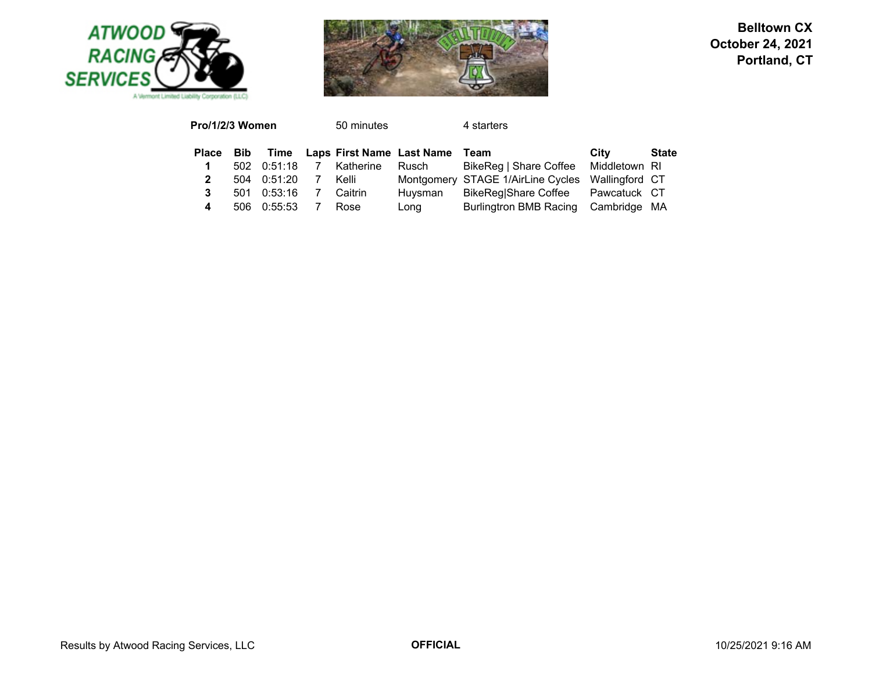



| Pro/1/2/3 Women |     |             |                | 50 minutes |                                     | 4 starters                           |                |              |
|-----------------|-----|-------------|----------------|------------|-------------------------------------|--------------------------------------|----------------|--------------|
| Place Bib       |     |             |                |            | Time Laps First Name Last Name Team |                                      | City           | <b>State</b> |
|                 |     | 502 0:51:18 | $\overline{7}$ | Katherine  | Rusch                               | BikeReg   Share Coffee Middletown RI |                |              |
|                 | 504 | 0:51:20     | $\overline{7}$ | Kelli      |                                     | Montgomery STAGE 1/AirLine Cycles    | Wallingford CT |              |
| 3               | 501 | 0:53:16     |                | Caitrin    | Huysman                             | BikeReg Share Coffee Pawcatuck CT    |                |              |
| 4               | 506 | 0:55:53     |                | Rose       | Long                                | Burlingtron BMB Racing Cambridge MA  |                |              |
|                 |     |             |                |            |                                     |                                      |                |              |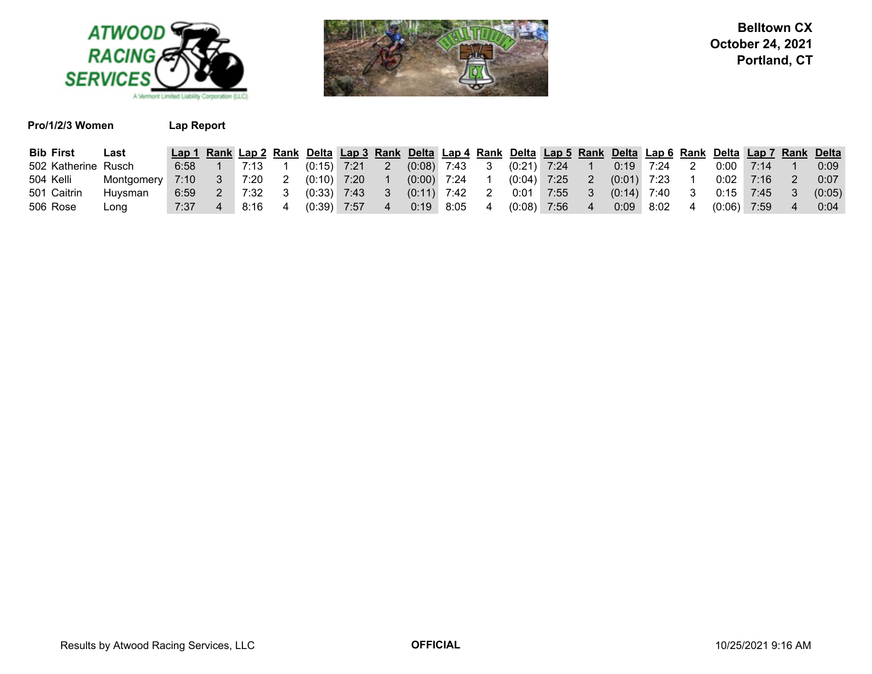



|  | Pro/1/2/3 Women |  |
|--|-----------------|--|
|--|-----------------|--|

**Lap Report** 

| <b>Bib First</b>    | ∟ast       | Lap 1 Rank Lap 2 Rank Delta Lap 3 Rank Delta Lap 4 Rank Delta Lap 5 Rank Delta Lap 6 Rank Delta Lap 7 Rank Delta |          |                  |     |               |               |                 |    |               |      |               |      |               |      |               |        |
|---------------------|------------|------------------------------------------------------------------------------------------------------------------|----------|------------------|-----|---------------|---------------|-----------------|----|---------------|------|---------------|------|---------------|------|---------------|--------|
| 502 Katherine Rusch |            | 6:58                                                                                                             |          | $1 \t 7:13 \t 1$ |     | $(0:15)$ 7:21 |               | $(0.08)$ 7:43 3 |    | $(0:21)$ 7:24 |      | $0:19$ 7:24   |      | 0:00          | 7:14 |               | 0:09   |
| 504 Kelli           | Montgomery | 7:10                                                                                                             | $\sim$ 3 | 7:20             |     |               | $(0:10)$ 7:20 | $(0:00)$ 7:24 1 |    | $(0.04)$ 7:25 |      | $(0:01)$ 7:23 |      | $0:02$ 7:16   |      |               | 0:07   |
| 501 Caitrin         | Huvsman    | 6:59                                                                                                             | $\sim$ 2 | 7:32             | - 3 | $(0:33)$ 7:43 |               | $(0:11)$ 7:42   | -2 | 0:01          | 7:55 | $(0:14)$ 7:40 |      | $0:15$ 7:45   |      | $\setminus 3$ | (0:05) |
| 506 Rose            | Long       | 7:37                                                                                                             |          | 8:16             |     | (0:39)        | 7:57          | $0:19$ 8:05     |    | (0:08)        | 7:56 | 0:09          | 8:02 | $(0:06)$ 7:59 |      |               | 0:04   |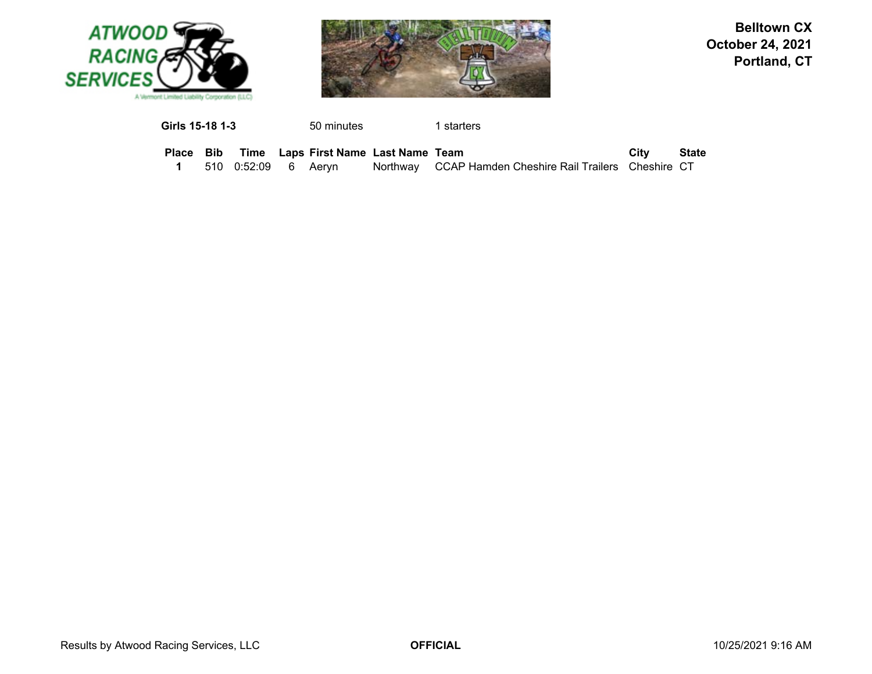



**Girls 15-18 1-3**50 minutes 1 starters

|  |                        | Place Bib Time Laps First Name Last Name Team |                                                         | City | State |
|--|------------------------|-----------------------------------------------|---------------------------------------------------------|------|-------|
|  | 510  0:52:09  6  Aervn |                                               | Northway CCAP Hamden Cheshire Rail Trailers Cheshire CT |      |       |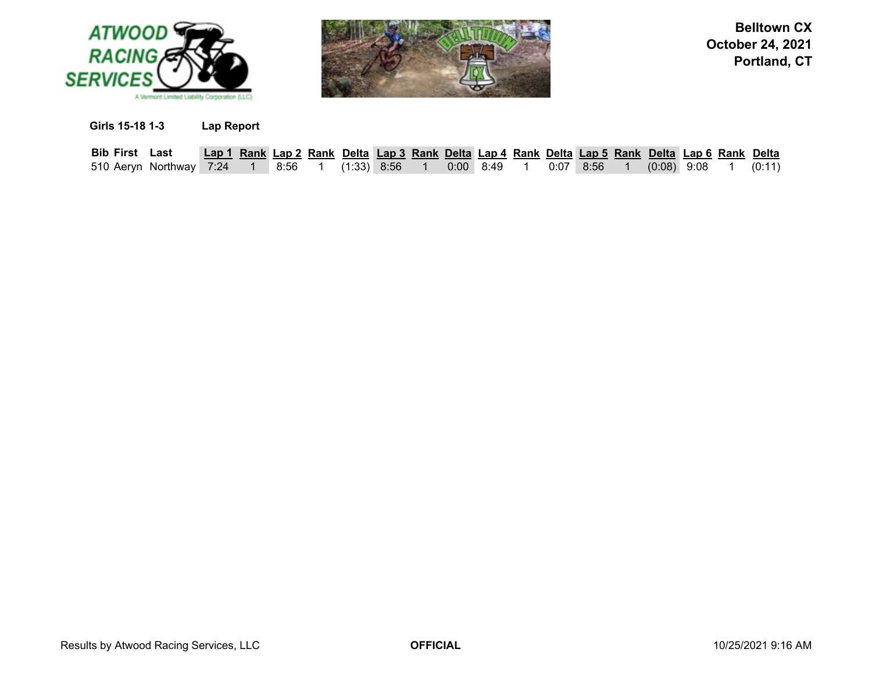



**Girls 15-18 1-3 Lap Report**

| <b>Bib First Last</b>   |  |      |               | Lap 1 Rank Lap 2 Rank Delta Lap 3 Rank Delta Lap 4 Rank Delta Lap 5 Rank Delta Lap 6 Rank Delta |  |               |  |             |               |  |        |
|-------------------------|--|------|---------------|-------------------------------------------------------------------------------------------------|--|---------------|--|-------------|---------------|--|--------|
| 510 Aeryn Northway 7:24 |  | 8:56 | $(1:33)$ 8:56 |                                                                                                 |  | $0:00$ $8:49$ |  | $0:07$ 8:56 | $(0.08)$ 9:08 |  | (0:11) |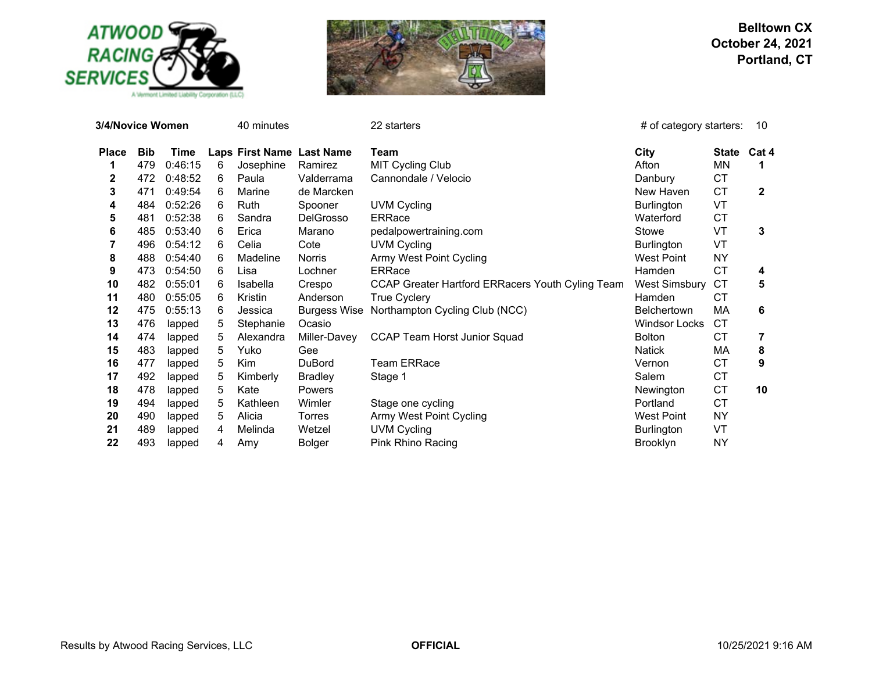

A Vermont Limited Liability Corporation (LLC)



| 3/4/Novice Women |            |         | 40 minutes |           | 22 starters               | # of category starters:                          | 10                   |              |              |
|------------------|------------|---------|------------|-----------|---------------------------|--------------------------------------------------|----------------------|--------------|--------------|
| <b>Place</b>     | <b>Bib</b> | Time    |            |           | Laps First Name Last Name | Team                                             | City                 | <b>State</b> | Cat 4        |
|                  | 479        | 0:46:15 | 6          | Josephine | Ramirez                   | MIT Cycling Club                                 | Afton                | ΜN           | 1            |
| 2                | 472        | 0:48:52 | 6          | Paula     | Valderrama                | Cannondale / Velocio                             | Danbury              | СT           |              |
| 3                | 471        | 0:49:54 | 6          | Marine    | de Marcken                |                                                  | New Haven            | <b>CT</b>    | $\mathbf{2}$ |
| 4                | 484        | 0:52:26 | 6          | Ruth      | Spooner                   | <b>UVM Cycling</b>                               | Burlington           | VT           |              |
| 5                | 481        | 0:52:38 | 6          | Sandra    | <b>DelGrosso</b>          | <b>ERRace</b>                                    | Waterford            | <b>CT</b>    |              |
| 6                | 485        | 0:53:40 | 6          | Erica     | Marano                    | pedalpowertraining.com                           | Stowe                | VT           | 3            |
|                  | 496        | 0:54:12 | 6          | Celia     | Cote                      | <b>UVM Cycling</b>                               | Burlington           | VT           |              |
| 8                | 488        | 0:54:40 | 6          | Madeline  | Norris                    | Army West Point Cycling                          | <b>West Point</b>    | <b>NY</b>    |              |
| 9                | 473        | 0:54:50 | 6          | Lisa      | Lochner                   | <b>ERRace</b>                                    | Hamden               | <b>CT</b>    | 4            |
| 10               | 482        | 0:55:01 | 6          | Isabella  | Crespo                    | CCAP Greater Hartford ERRacers Youth Cyling Team | <b>West Simsbury</b> | <b>CT</b>    | 5            |
| 11               | 480        | 0:55:05 | 6          | Kristin   | Anderson                  | True Cyclery                                     | Hamden               | СT           |              |
| 12               | 475        | 0:55:13 | 6          | Jessica   | <b>Burgess Wise</b>       | Northampton Cycling Club (NCC)                   | <b>Belchertown</b>   | МA           | 6            |
| 13               | 476        | lapped  | 5          | Stephanie | Ocasio                    |                                                  | <b>Windsor Locks</b> | CT           |              |
| 14               | 474        | lapped  | 5          | Alexandra | Miller-Davey              | <b>CCAP Team Horst Junior Squad</b>              | <b>Bolton</b>        | СT           |              |
| 15               | 483        | lapped  | 5          | Yuko      | Gee                       |                                                  | Natick               | МA           | 8            |
| 16               | 477        | lapped  | 5          | Kim       | <b>DuBord</b>             | <b>Team ERRace</b>                               | Vernon               | CT           | 9            |
| 17               | 492        | lapped  | 5          | Kimberly  | <b>Bradley</b>            | Stage 1                                          | Salem                | <b>CT</b>    |              |
| 18               | 478        | lapped  | 5          | Kate      | Powers                    |                                                  | Newington            | <b>CT</b>    | 10           |
| 19               | 494        | lapped  | 5          | Kathleen  | Wimler                    | Stage one cycling                                | Portland             | CT           |              |
| 20               | 490        | lapped  | 5          | Alicia    | Torres                    | Army West Point Cycling                          | <b>West Point</b>    | NΥ           |              |
| 21               | 489        | lapped  | 4          | Melinda   | Wetzel                    | <b>UVM Cycling</b>                               | <b>Burlington</b>    | VT           |              |
| 22               | 493        | lapped  | 4          | Amy       | Bolger                    | Pink Rhino Racing                                | <b>Brooklyn</b>      | <b>NY</b>    |              |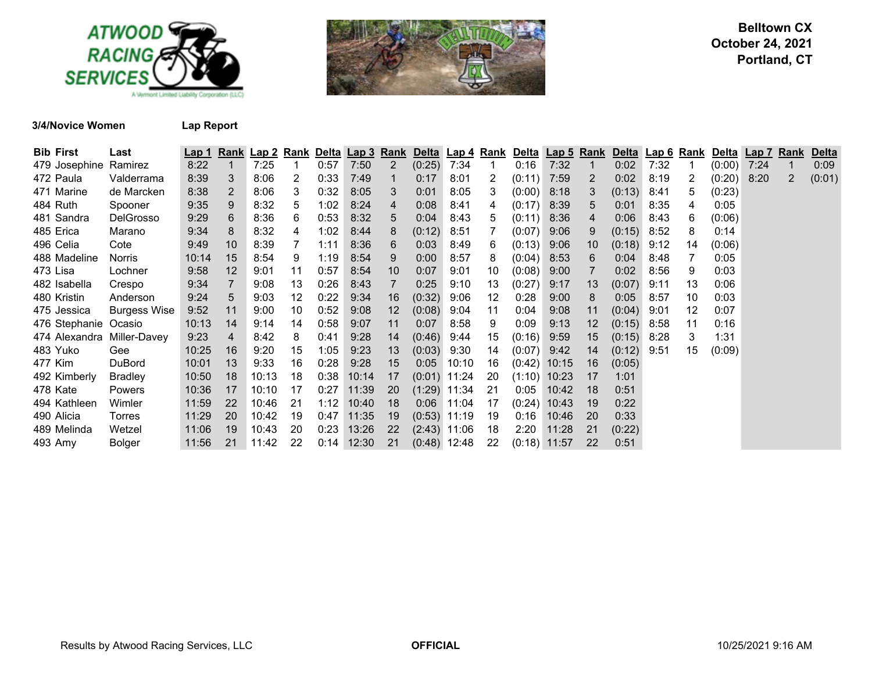



**3/4/Novice Women Lap Report**

| <b>Bib First</b>           | Last                | <u>Lap 1</u> | <u>Rank</u> | <u>Lap 2</u> | <u>Rank</u> | Delta | <u>Lap 3</u> | <b>Rank</b> | <b>Delta</b>   | Lap 4 Rank |     |        | Delta Lap 5 Rank |                | Delta Lap 6 Rank |      |                   | <u>Delta</u> | <b>Lap 7 Rank</b> |                | <b>Delta</b> |
|----------------------------|---------------------|--------------|-------------|--------------|-------------|-------|--------------|-------------|----------------|------------|-----|--------|------------------|----------------|------------------|------|-------------------|--------------|-------------------|----------------|--------------|
| 479 Josephine Ramirez      |                     | 8:22         |             | 7:25         |             | 0:57  | 7:50         | 2           | (0:25)         | 7:34       |     | 0:16   | 7:32             | 1              | 0:02             | 7:32 |                   | (0:00)       | 7:24              | $\mathbf 1$    | 0:09         |
| 472 Paula                  | Valderrama          | 8:39         | 3           | 8:06         | 2           | 0:33  | 7:49         |             | 0:17           | 8:01       | 2   | (0:11) | 7:59             | $\overline{2}$ | 0:02             | 8:19 | 2                 | (0:20)       | 8:20              | $\overline{2}$ | (0:01)       |
| 471 Marine                 | de Marcken          | 8:38         | 2           | 8:06         | 3           | 0:32  | 8:05         | 3           | 0:01           | 8:05       | 3   | (0:00) | 8:18             | 3              | (0:13)           | 8:41 | 5                 | (0:23)       |                   |                |              |
| 484 Ruth                   | Spooner             | 9:35         | 9           | 8:32         | 5           | 1:02  | 8:24         | 4           | 0:08           | 8:41       | 4   | (0:17) | 8:39             | 5.             | 0:01             | 8:35 | 4                 | 0:05         |                   |                |              |
| 481 Sandra                 | <b>DelGrosso</b>    | 9:29         | 6           | 8:36         | 6           | 0:53  | 8:32         | 5           | 0:04           | 8:43       | 5   | (0:11) | 8:36             | 4              | 0:06             | 8:43 | 6                 | (0:06)       |                   |                |              |
| 485 Erica                  | Marano              | 9:34         | 8           | 8:32         | 4           | 1:02  | 8:44         | 8           | (0:12)         | 8:51       |     | (0:07) | 9:06             | 9              | (0:15)           | 8:52 | 8                 | 0:14         |                   |                |              |
| 496 Celia                  | Cote                | 9:49         | 10          | 8:39         |             | 1:11  | 8:36         | 6           | 0:03           | 8:49       | 6   | (0:13) | 9:06             | 10             | (0:18)           | 9:12 | 14                | (0:06)       |                   |                |              |
| 488 Madeline               | Norris              | 10:14        | 15          | 8:54         | 9           | 1:19  | 8:54         | 9           | 0:00           | 8:57       | 8   | (0:04) | 8:53             | 6              | 0:04             | 8:48 |                   | 0:05         |                   |                |              |
| 473 Lisa                   | Lochner             | 9:58         | 12          | 9:01         | 11          | 0:57  | 8:54         | 10          | 0:07           | 9:01       | 10  | (0:08) | 9:00             |                | 0:02             | 8:56 | 9                 | 0:03         |                   |                |              |
| 482 Isabella               | Crespo              | 9:34         |             | 9:08         | 13          | 0:26  | 8:43         |             | 0:25           | 9:10       | 13  | (0:27) | 9:17             | 13             | (0:07)           | 9:11 | 13                | 0:06         |                   |                |              |
| 480 Kristin                | Anderson            | 9:24         | 5           | 9:03         | 12          | 0:22  | 9:34         | 16          | (0:32)         | 9:06       | 12  | 0:28   | 9:00             | 8              | 0:05             | 8:57 | 10                | 0:03         |                   |                |              |
| 475 Jessica                | <b>Burgess Wise</b> | 9:52         | 11          | 9:00         | 10          | 0:52  | 9:08         | 12          | (0:08)         | 9:04       | 11  | 0:04   | 9:08             | 11             | (0:04)           | 9:01 | $12 \overline{ }$ | 0:07         |                   |                |              |
| 476 Stephanie Ocasio       |                     | 10:13        | 14          | 9:14         | 14          | 0:58  | 9:07         | 11          | 0:07           | 8:58       | 9   | 0:09   | 9:13             | $12 \,$        | (0:15)           | 8:58 | 11                | 0:16         |                   |                |              |
| 474 Alexandra Miller-Davey |                     | 9:23         | 4           | 8:42         | 8           | 0:41  | 9:28         | 14          | (0:46)         | 9:44       | 15  | (0:16) | 9:59             | 15             | (0:15)           | 8:28 | 3                 | 1:31         |                   |                |              |
| 483 Yuko                   | Gee                 | 10:25        | 16          | 9:20         | 15          | 1:05  | 9:23         | 13          | (0:03)         | 9:30       | 14  | (0:07) | 9:42             | 14             | (0:12)           | 9:51 | 15                | (0:09)       |                   |                |              |
| 477 Kim                    | DuBord              | 10:01        | 13          | 9:33         | 16          | 0:28  | 9:28         | 15          | 0:05           | 10:10      | 16  | (0:42) | 10:15            | 16             | (0:05)           |      |                   |              |                   |                |              |
| 492 Kimberly               | <b>Bradley</b>      | 10:50        | 18          | 10:13        | 18          | 0:38  | 10:14        | 17          | (0:01)         | 11:24      | 20  | (1:10) | 10:23            | 17             | 1:01             |      |                   |              |                   |                |              |
| 478 Kate                   | Powers              | 10:36        | 17          | 10:10        | -17         | 0:27  | 11:39        | 20          | (1:29)         | 11:34      | -21 | 0:05   | 10:42            | 18             | 0:51             |      |                   |              |                   |                |              |
| 494 Kathleen               | Wimler              | 11:59        | 22          | 10:46        | 21          | 1:12  | 10:40        | 18          | 0:06           | 11:04      | 17  | (0:24) | 10:43            | 19             | 0:22             |      |                   |              |                   |                |              |
| 490 Alicia                 | Torres              | 11:29        | 20          | 10:42        | 19          | 0:47  | 11:35        | 19          | $(0:53)$ 11:19 |            | 19  | 0:16   | 10:46            | 20             | 0:33             |      |                   |              |                   |                |              |
| 489 Melinda                | Wetzel              | 11:06        | -19         | 10:43        | -20         | 0:23  | 13:26        | 22          | $(2:43)$ 11:06 |            | 18  | 2:20   | 11:28            | 21             | (0:22)           |      |                   |              |                   |                |              |
| 493 Amy                    | <b>Bolger</b>       | 11:56        | 21          | 11:42        | 22          | 0:14  | 12:30        | 21          | $(0.48)$ 12:48 |            | 22  |        | $(0:18)$ 11:57   | 22             | 0:51             |      |                   |              |                   |                |              |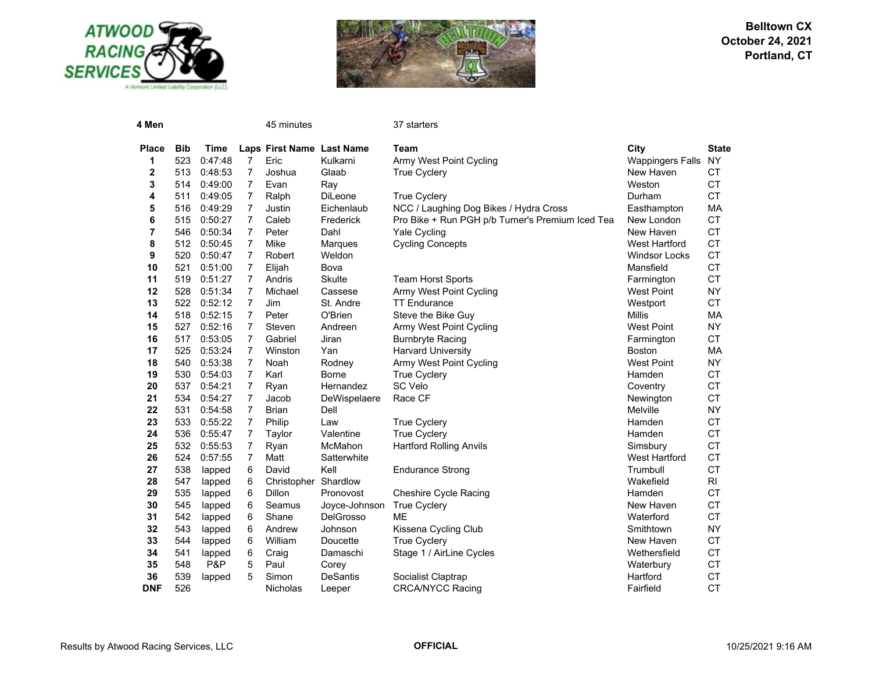



| 4 Men        |            |         |                | 45 minutes                |                  | 37 starters                                      |                         |                |
|--------------|------------|---------|----------------|---------------------------|------------------|--------------------------------------------------|-------------------------|----------------|
| <b>Place</b> | <b>Bib</b> | Time    |                | Laps First Name Last Name |                  | Team                                             | City                    | <b>State</b>   |
| 1            | 523        | 0:47:48 | $\overline{7}$ | Eric                      | Kulkarni         | Army West Point Cycling                          | <b>Wappingers Falls</b> | <b>NY</b>      |
| 2            | 513        | 0:48:53 | $\overline{7}$ | Joshua                    | Glaab            | <b>True Cyclery</b>                              | New Haven               | <b>CT</b>      |
| 3            | 514        | 0:49:00 | $\overline{7}$ | Evan                      | Ray              |                                                  | Weston                  | CT             |
| 4            | 511        | 0:49:05 | $\overline{7}$ | Ralph                     | DiLeone          | <b>True Cyclery</b>                              | Durham                  | CT             |
| 5            | 516        | 0:49:29 | $\overline{7}$ | Justin                    | Eichenlaub       | NCC / Laughing Dog Bikes / Hydra Cross           | Easthampton             | MA             |
| 6            | 515        | 0:50:27 | $\overline{7}$ | Caleb                     | Frederick        | Pro Bike + Run PGH p/b Turner's Premium Iced Tea | New London              | <b>CT</b>      |
| 7            | 546        | 0:50:34 | $\overline{7}$ | Peter                     | Dahl             | Yale Cycling                                     | New Haven               | <b>CT</b>      |
| 8            | 512        | 0:50:45 | $\overline{7}$ | Mike                      | Marques          | <b>Cycling Concepts</b>                          | <b>West Hartford</b>    | <b>CT</b>      |
| 9            | 520        | 0:50:47 | $\overline{7}$ | Robert                    | Weldon           |                                                  | <b>Windsor Locks</b>    | <b>CT</b>      |
| 10           | 521        | 0:51:00 | $\overline{7}$ | Elijah                    | Bova             |                                                  | Mansfield               | <b>CT</b>      |
| 11           | 519        | 0:51:27 | $\overline{7}$ | Andris                    | <b>Skulte</b>    | <b>Team Horst Sports</b>                         | Farmington              | CT             |
| 12           | 528        | 0:51:34 | $\overline{7}$ | Michael                   | Cassese          | Army West Point Cycling                          | <b>West Point</b>       | <b>NY</b>      |
| 13           | 522        | 0:52:12 | $\overline{7}$ | Jim                       | St. Andre        | <b>TT Endurance</b>                              | Westport                | CT             |
| 14           | 518        | 0:52:15 | $\overline{7}$ | Peter                     | O'Brien          | Steve the Bike Guy                               | <b>Millis</b>           | MA             |
| 15           | 527        | 0:52:16 | $\overline{7}$ | Steven                    | Andreen          | Army West Point Cycling                          | <b>West Point</b>       | <b>NY</b>      |
| 16           | 517        | 0:53:05 | $\overline{7}$ | Gabriel                   | Jiran            | <b>Burnbryte Racing</b>                          | Farmington              | <b>CT</b>      |
| 17           | 525        | 0:53:24 | $\overline{7}$ | Winston                   | Yan              | <b>Harvard University</b>                        | <b>Boston</b>           | MA             |
| 18           | 540        | 0:53:38 | $\overline{7}$ | Noah                      | Rodney           | Army West Point Cycling                          | <b>West Point</b>       | <b>NY</b>      |
| 19           | 530        | 0:54:03 | $\overline{7}$ | Karl                      | <b>Borne</b>     | <b>True Cyclery</b>                              | Hamden                  | CT             |
| 20           | 537        | 0:54:21 | 7              | Ryan                      | Hernandez        | SC Velo                                          | Coventry                | <b>CT</b>      |
| 21           | 534        | 0:54:27 | 7              | Jacob                     | DeWispelaere     | Race CF                                          | Newington               | <b>CT</b>      |
| 22           | 531        | 0:54:58 | $\overline{7}$ | <b>Brian</b>              | Dell             |                                                  | Melville                | <b>NY</b>      |
| 23           | 533        | 0:55:22 | $\overline{7}$ | Philip                    | Law              | <b>True Cyclery</b>                              | Hamden                  | CT             |
| 24           | 536        | 0:55:47 | $\overline{7}$ | Taylor                    | Valentine        | <b>True Cyclery</b>                              | Hamden                  | <b>CT</b>      |
| 25           | 532        | 0:55:53 | $\overline{7}$ | Ryan                      | McMahon          | <b>Hartford Rolling Anvils</b>                   | Simsbury                | CT             |
| 26           | 524        | 0:57:55 | $\overline{7}$ | Matt                      | Satterwhite      |                                                  | <b>West Hartford</b>    | CT             |
| 27           | 538        | lapped  | 6              | David                     | Kell             | <b>Endurance Strong</b>                          | Trumbull                | <b>CT</b>      |
| 28           | 547        | lapped  | 6              | Christopher Shardlow      |                  |                                                  | Wakefield               | R <sub>l</sub> |
| 29           | 535        | lapped  | 6              | <b>Dillon</b>             | Pronovost        | <b>Cheshire Cycle Racing</b>                     | Hamden                  | <b>CT</b>      |
| 30           | 545        | lapped  | 6              | Seamus                    | Joyce-Johnson    | <b>True Cyclery</b>                              | New Haven               | <b>CT</b>      |
| 31           | 542        | lapped  | 6              | Shane                     | <b>DelGrosso</b> | <b>ME</b>                                        | Waterford               | <b>CT</b>      |
| 32           | 543        | lapped  | 6              | Andrew                    | Johnson          | Kissena Cycling Club                             | Smithtown               | <b>NY</b>      |
| 33           | 544        | lapped  | 6              | William                   | Doucette         | <b>True Cyclery</b>                              | New Haven               | <b>CT</b>      |
| 34           | 541        | lapped  | 6              | Craig                     | Damaschi         | Stage 1 / AirLine Cycles                         | Wethersfield            | CT             |
| 35           | 548        | P&P     | 5              | Paul                      | Corey            |                                                  | Waterbury               | <b>CT</b>      |
| 36           | 539        | lapped  | 5              | Simon                     | <b>DeSantis</b>  | Socialist Claptrap                               | Hartford                | CT             |
| <b>DNF</b>   | 526        |         |                | <b>Nicholas</b>           | Leeper           | <b>CRCA/NYCC Racing</b>                          | Fairfield               | <b>CT</b>      |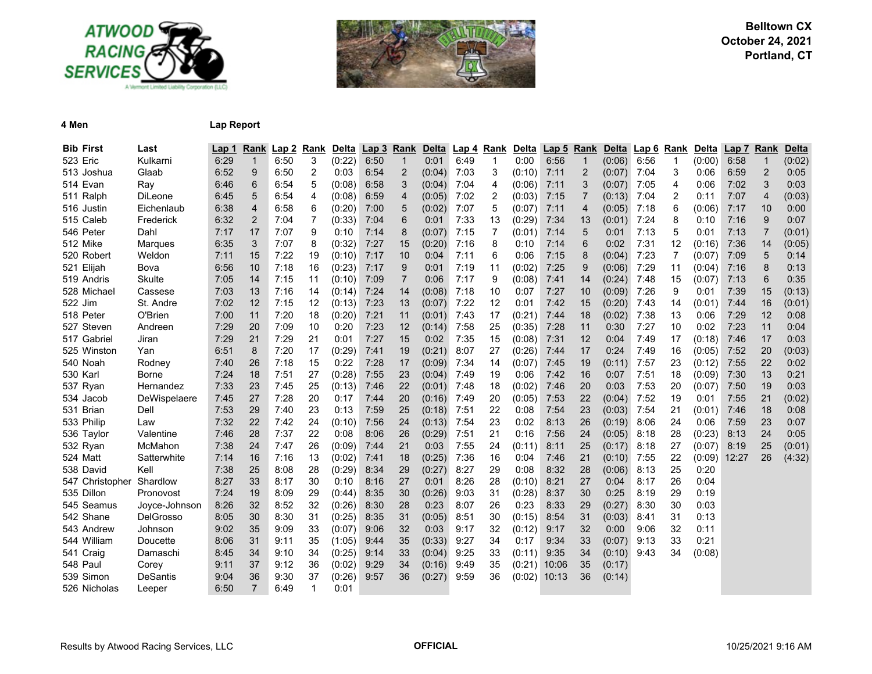



#### **4 Men Lap Report**

| <b>Bib First</b> | Last            | Lap 1 |                | Rank Lap 2 | Rank           | <b>Delta</b> | Lap <sub>3</sub> | Rank           | Delta  | Lap <sub>4</sub> | Rank           | Delta  | Lap <sub>5</sub> | Rank           | Delta  | Lap 6 | Rank                    | Delta  | <b>Lap 7</b> | Rank           | <b>Delta</b> |
|------------------|-----------------|-------|----------------|------------|----------------|--------------|------------------|----------------|--------|------------------|----------------|--------|------------------|----------------|--------|-------|-------------------------|--------|--------------|----------------|--------------|
| 523 Eric         | Kulkarni        | 6:29  | $\mathbf{1}$   | 6:50       | 3              | (0:22)       | 6:50             | $\mathbf{1}$   | 0:01   | 6:49             | $\mathbf{1}$   | 0:00   | 6:56             | $\mathbf 1$    | (0:06) | 6:56  | $\mathbf{1}$            | (0:00) | 6:58         | $\mathbf{1}$   | (0:02)       |
| 513 Joshua       | Glaab           | 6:52  | 9              | 6:50       | 2              | 0:03         | 6:54             | $\overline{c}$ | (0:04) | 7:03             | 3              | (0:10) | 7:11             | $\overline{2}$ | (0:07) | 7:04  | 3                       | 0:06   | 6:59         | $\overline{c}$ | 0:05         |
| 514 Evan         | Ray             | 6:46  | 6              | 6:54       | 5              | (0:08)       | 6:58             | 3              | (0:04) | 7:04             | 4              | (0:06) | 7:11             | 3              | (0:07) | 7:05  | 4                       | 0:06   | 7:02         | 3              | 0:03         |
| 511 Ralph        | <b>DiLeone</b>  | 6:45  | 5              | 6:54       | 4              | (0:08)       | 6:59             | 4              | (0:05) | 7:02             | 2              | (0:03) | 7:15             | $\overline{7}$ | (0:13) | 7:04  | $\overline{\mathbf{c}}$ | 0:11   | 7:07         | $\overline{4}$ | (0:03)       |
| 516 Justin       | Eichenlaub      | 6:38  | 4              | 6:58       | $\,6$          | (0:20)       | 7:00             | 5              | (0:02) | 7:07             | 5              | (0:07) | 7:11             | $\overline{4}$ | (0:05) | 7:18  | 6                       | (0:06) | 7:17         | 10             | 0:00         |
| 515 Caleb        | Frederick       | 6:32  | $\overline{2}$ | 7:04       | $\overline{7}$ | (0:33)       | 7:04             | 6              | 0:01   | 7:33             | 13             | (0:29) | 7:34             | 13             | (0:01) | 7:24  | 8                       | 0:10   | 7:16         | 9              | 0:07         |
| 546 Peter        | Dahl            | 7:17  | 17             | 7:07       | 9              | 0:10         | 7:14             | 8              | (0:07) | 7:15             | $\overline{7}$ | (0:01) | 7:14             | 5              | 0:01   | 7:13  | 5                       | 0:01   | 7:13         | $\overline{7}$ | (0:01)       |
| 512 Mike         | Marques         | 6:35  | 3              | 7:07       | 8              | (0:32)       | 7:27             | 15             | (0:20) | 7:16             | 8              | 0:10   | 7:14             | 6              | 0:02   | 7:31  | 12                      | (0:16) | 7:36         | 14             | (0:05)       |
| 520 Robert       | Weldon          | 7:11  | 15             | 7:22       | 19             | (0:10)       | 7:17             | 10             | 0:04   | 7:11             | 6              | 0:06   | 7:15             | 8              | (0:04) | 7:23  | 7                       | (0:07) | 7:09         | 5              | 0:14         |
| 521 Elijah       | Bova            | 6:56  | 10             | 7:18       | 16             | (0:23)       | 7:17             | 9              | 0:01   | 7:19             | 11             | (0:02) | 7:25             | 9              | (0:06) | 7:29  | 11                      | (0:04) | 7:16         | 8              | 0:13         |
| 519 Andris       | <b>Skulte</b>   | 7:05  | 14             | 7:15       | 11             | (0:10)       | 7:09             | $\overline{7}$ | 0:06   | 7:17             | 9              | (0:08) | 7:41             | 14             | (0:24) | 7:48  | 15                      | (0:07) | 7:13         | 6              | 0:35         |
| 528 Michael      | Cassese         | 7:03  | 13             | 7:16       | 14             | (0:14)       | 7:24             | 14             | (0:08) | 7:18             | 10             | 0:07   | 7:27             | 10             | (0:09) | 7:26  | 9                       | 0:01   | 7:39         | 15             | (0:13)       |
| 522 Jim          | St. Andre       | 7:02  | 12             | 7:15       | 12             | (0:13)       | 7:23             | 13             | (0:07) | 7:22             | 12             | 0:01   | 7:42             | 15             | (0:20) | 7:43  | 14                      | (0:01) | 7:44         | 16             | (0:01)       |
| 518 Peter        | O'Brien         | 7:00  | 11             | 7:20       | 18             | (0:20)       | 7:21             | 11             | (0:01) | 7:43             | 17             | (0:21) | 7:44             | 18             | (0:02) | 7:38  | 13                      | 0:06   | 7:29         | 12             | 0:08         |
| 527 Steven       | Andreen         | 7:29  | 20             | 7:09       | 10             | 0:20         | 7:23             | 12             | (0:14) | 7:58             | 25             | (0:35) | 7:28             | 11             | 0:30   | 7:27  | 10                      | 0:02   | 7:23         | 11             | 0:04         |
| 517 Gabriel      | Jiran           | 7:29  | 21             | 7:29       | 21             | 0:01         | 7:27             | 15             | 0:02   | 7:35             | 15             | (0:08) | 7:31             | 12             | 0:04   | 7:49  | 17                      | (0:18) | 7:46         | 17             | 0:03         |
| 525 Winston      | Yan             | 6:51  | 8              | 7:20       | 17             | (0:29)       | 7:41             | 19             | (0:21) | 8:07             | 27             | (0:26) | 7:44             | 17             | 0:24   | 7:49  | 16                      | (0:05) | 7:52         | 20             | (0:03)       |
| 540 Noah         | Rodney          | 7:40  | 26             | 7:18       | 15             | 0:22         | 7:28             | 17             | (0:09) | 7:34             | 14             | (0:07) | 7:45             | 19             | (0:11) | 7:57  | 23                      | (0:12) | 7:55         | 22             | 0:02         |
| 530 Karl         | <b>Borne</b>    | 7:24  | 18             | 7:51       | 27             | (0:28)       | 7:55             | 23             | (0:04) | 7:49             | 19             | 0:06   | 7:42             | 16             | 0:07   | 7:51  | 18                      | (0:09) | 7:30         | 13             | 0:21         |
| 537 Ryan         | Hernandez       | 7:33  | 23             | 7:45       | 25             | (0:13)       | 7:46             | 22             | (0:01) | 7:48             | 18             | (0:02) | 7:46             | 20             | 0:03   | 7:53  | 20                      | (0:07) | 7:50         | 19             | 0:03         |
| 534 Jacob        | DeWispelaere    | 7:45  | 27             | 7:28       | 20             | 0:17         | 7:44             | 20             | (0:16) | 7:49             | 20             | (0:05) | 7:53             | 22             | (0:04) | 7:52  | 19                      | 0:01   | 7:55         | 21             | (0:02)       |
| 531 Brian        | Dell            | 7:53  | 29             | 7:40       | 23             | 0:13         | 7:59             | 25             | (0:18) | 7:51             | 22             | 0:08   | 7:54             | 23             | (0:03) | 7:54  | 21                      | (0:01) | 7:46         | 18             | 0:08         |
| 533 Philip       | Law             | 7:32  | 22             | 7:42       | 24             | (0:10)       | 7:56             | 24             | (0:13) | 7:54             | 23             | 0:02   | 8:13             | 26             | (0:19) | 8:06  | 24                      | 0:06   | 7:59         | 23             | 0:07         |
| 536 Taylor       | Valentine       | 7:46  | 28             | 7:37       | 22             | 0:08         | 8:06             | 26             | (0:29) | 7:51             | 21             | 0:16   | 7:56             | 24             | (0:05) | 8:18  | 28                      | (0:23) | 8:13         | 24             | 0:05         |
| 532 Ryan         | McMahon         | 7:38  | 24             | 7:47       | 26             | (0:09)       | 7:44             | 21             | 0:03   | 7:55             | 24             | (0:11) | 8:11             | 25             | (0:17) | 8:18  | 27                      | (0:07) | 8:19         | 25             | (0:01)       |
| 524 Matt         | Satterwhite     | 7:14  | 16             | 7:16       | 13             | (0:02)       | 7:41             | 18             | (0:25) | 7:36             | 16             | 0:04   | 7:46             | 21             | (0:10) | 7:55  | 22                      | (0:09) | 12:27        | 26             | (4:32)       |
| 538 David        | Kell            | 7:38  | 25             | 8:08       | 28             | (0:29)       | 8:34             | 29             | (0:27) | 8:27             | 29             | 0:08   | 8:32             | 28             | (0:06) | 8:13  | 25                      | 0:20   |              |                |              |
| 547 Christopher  | Shardlow        | 8:27  | 33             | 8:17       | 30             | 0:10         | 8:16             | 27             | 0:01   | 8:26             | 28             | (0:10) | 8:21             | 27             | 0:04   | 8:17  | 26                      | 0:04   |              |                |              |
| 535 Dillon       | Pronovost       | 7:24  | 19             | 8:09       | 29             | (0:44)       | 8:35             | 30             | (0:26) | 9:03             | 31             | (0:28) | 8:37             | 30             | 0:25   | 8:19  | 29                      | 0:19   |              |                |              |
| 545 Seamus       | Joyce-Johnson   | 8:26  | 32             | 8:52       | 32             | (0:26)       | 8:30             | 28             | 0:23   | 8:07             | 26             | 0:23   | 8:33             | 29             | (0:27) | 8:30  | 30                      | 0:03   |              |                |              |
| 542 Shane        | DelGrosso       | 8:05  | 30             | 8:30       | 31             | (0:25)       | 8:35             | 31             | (0:05) | 8:51             | 30             | (0:15) | 8:54             | 31             | (0:03) | 8:41  | 31                      | 0:13   |              |                |              |
| 543 Andrew       | Johnson         | 9:02  | 35             | 9:09       | 33             | (0:07)       | 9:06             | 32             | 0:03   | 9:17             | 32             | (0:12) | 9:17             | 32             | 0:00   | 9:06  | 32                      | 0:11   |              |                |              |
| 544 William      | Doucette        | 8:06  | 31             | 9:11       | 35             | (1:05)       | 9:44             | 35             | (0:33) | 9:27             | 34             | 0:17   | 9:34             | 33             | (0:07) | 9:13  | 33                      | 0:21   |              |                |              |
| 541 Craig        | Damaschi        | 8:45  | 34             | 9:10       | 34             | (0:25)       | 9:14             | 33             | (0:04) | 9:25             | 33             | (0:11) | 9:35             | 34             | (0:10) | 9:43  | 34                      | (0:08) |              |                |              |
| 548 Paul         | Corey           | 9:11  | 37             | 9:12       | 36             | (0:02)       | 9:29             | 34             | (0:16) | 9:49             | 35             | (0:21) | 10:06            | 35             | (0:17) |       |                         |        |              |                |              |
| 539 Simon        | <b>DeSantis</b> | 9:04  | 36             | 9:30       | 37             | (0:26)       | 9:57             | 36             | (0:27) | 9:59             | 36             | (0:02) | 10:13            | 36             | (0:14) |       |                         |        |              |                |              |
| 526 Nicholas     | Leeper          | 6:50  | $\overline{7}$ | 6:49       | $\overline{1}$ | 0:01         |                  |                |        |                  |                |        |                  |                |        |       |                         |        |              |                |              |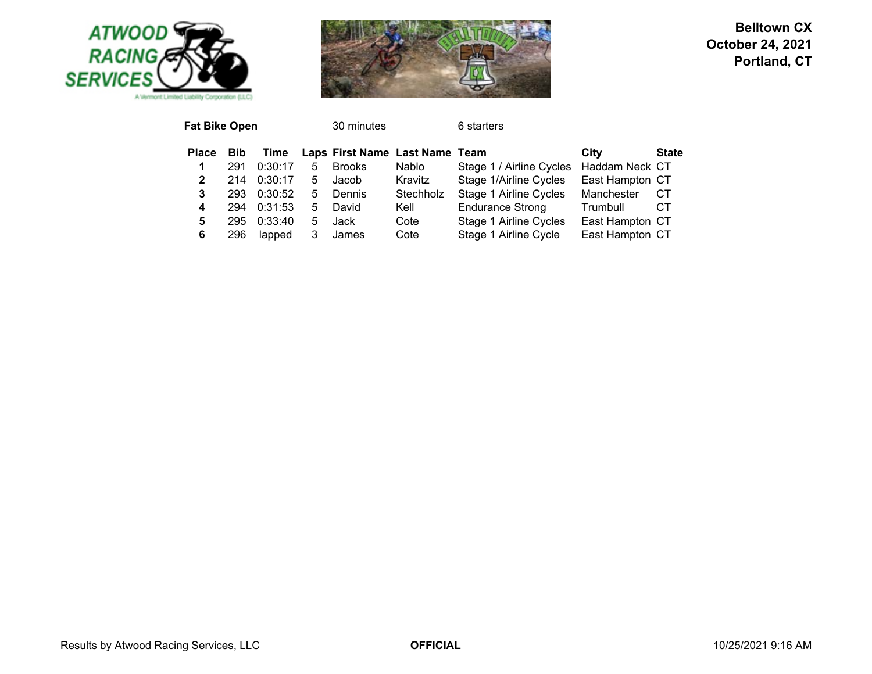



| <b>Fat Bike Open</b> |            |         |    | 30 minutes                     |           | 6 starters               |                 |              |
|----------------------|------------|---------|----|--------------------------------|-----------|--------------------------|-----------------|--------------|
| <b>Place</b>         | <b>Bib</b> | Time    |    | Laps First Name Last Name Team |           |                          | City            | <b>State</b> |
| 1                    | 291        | 0:30:17 | 5  | <b>Brooks</b>                  | Nablo     | Stage 1 / Airline Cycles | Haddam Neck CT  |              |
| 2                    | 214        | 0:30:17 | 5. | Jacob                          | Kravitz   | Stage 1/Airline Cycles   | East Hampton CT |              |
| 3                    | 293        | 0:30:52 | 5. | Dennis                         | Stechholz | Stage 1 Airline Cycles   | Manchester      | CТ           |
| 4                    | 294        | 0:31:53 | 5. | David                          | Kell      | <b>Endurance Strong</b>  | Trumbull        | CТ           |
| 5                    | 295        | 0:33:40 | 5  | Jack                           | Cote      | Stage 1 Airline Cycles   | East Hampton CT |              |
| 6                    | 296        | lapped  |    | James                          | Cote      | Stage 1 Airline Cycle    | East Hampton CT |              |